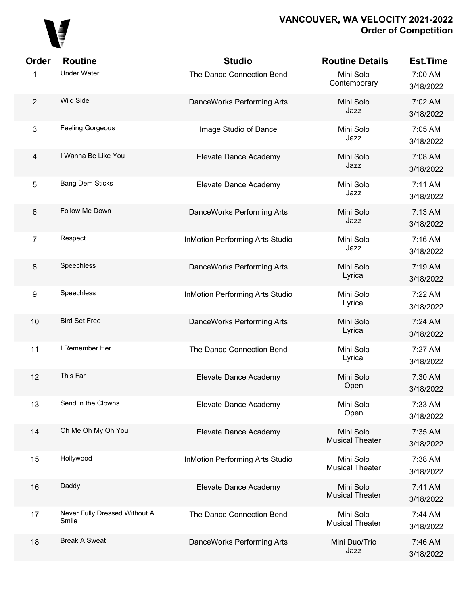

| Order                   | <b>Routine</b>                         | <b>Studio</b>                          | <b>Routine Details</b>              | <b>Est.Time</b>      |
|-------------------------|----------------------------------------|----------------------------------------|-------------------------------------|----------------------|
| 1                       | <b>Under Water</b>                     | The Dance Connection Bend              | Mini Solo<br>Contemporary           | 7:00 AM<br>3/18/2022 |
| $\overline{2}$          | <b>Wild Side</b>                       | DanceWorks Performing Arts             | Mini Solo<br>Jazz                   | 7:02 AM<br>3/18/2022 |
| $\mathbf{3}$            | <b>Feeling Gorgeous</b>                | Image Studio of Dance                  | Mini Solo<br>Jazz                   | 7:05 AM<br>3/18/2022 |
| $\overline{\mathbf{4}}$ | I Wanna Be Like You                    | Elevate Dance Academy                  | Mini Solo<br>Jazz                   | 7:08 AM<br>3/18/2022 |
| 5                       | <b>Bang Dem Sticks</b>                 | Elevate Dance Academy                  | Mini Solo<br>Jazz                   | 7:11 AM<br>3/18/2022 |
| $\,6\,$                 | Follow Me Down                         | DanceWorks Performing Arts             | Mini Solo<br>Jazz                   | 7:13 AM<br>3/18/2022 |
| $\overline{7}$          | Respect                                | <b>InMotion Performing Arts Studio</b> | Mini Solo<br>Jazz                   | 7:16 AM<br>3/18/2022 |
| 8                       | Speechless                             | DanceWorks Performing Arts             | Mini Solo<br>Lyrical                | 7:19 AM<br>3/18/2022 |
| $\boldsymbol{9}$        | Speechless                             | <b>InMotion Performing Arts Studio</b> | Mini Solo<br>Lyrical                | 7:22 AM<br>3/18/2022 |
| 10                      | <b>Bird Set Free</b>                   | DanceWorks Performing Arts             | Mini Solo<br>Lyrical                | 7:24 AM<br>3/18/2022 |
| 11                      | I Remember Her                         | The Dance Connection Bend              | Mini Solo<br>Lyrical                | 7:27 AM<br>3/18/2022 |
| 12                      | This Far                               | Elevate Dance Academy                  | Mini Solo<br>Open                   | 7:30 AM<br>3/18/2022 |
| 13                      | Send in the Clowns                     | Elevate Dance Academy                  | Mini Solo<br>Open                   | 7:33 AM<br>3/18/2022 |
| 14                      | Oh Me Oh My Oh You                     | Elevate Dance Academy                  | Mini Solo<br><b>Musical Theater</b> | 7:35 AM<br>3/18/2022 |
| 15                      | Hollywood                              | <b>InMotion Performing Arts Studio</b> | Mini Solo<br><b>Musical Theater</b> | 7:38 AM<br>3/18/2022 |
| 16                      | Daddy                                  | Elevate Dance Academy                  | Mini Solo<br><b>Musical Theater</b> | 7:41 AM<br>3/18/2022 |
| 17                      | Never Fully Dressed Without A<br>Smile | The Dance Connection Bend              | Mini Solo<br><b>Musical Theater</b> | 7:44 AM<br>3/18/2022 |
| 18                      | <b>Break A Sweat</b>                   | DanceWorks Performing Arts             | Mini Duo/Trio<br>Jazz               | 7:46 AM<br>3/18/2022 |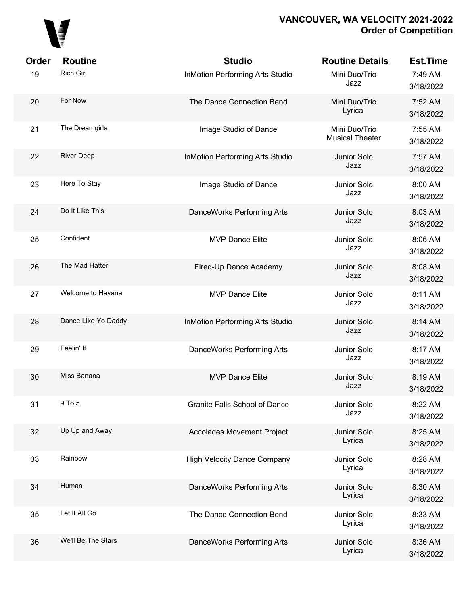

| Order | <b>Routine</b>      | <b>Studio</b>                          | <b>Routine Details</b>                  | <b>Est.Time</b>      |
|-------|---------------------|----------------------------------------|-----------------------------------------|----------------------|
| 19    | <b>Rich Girl</b>    | <b>InMotion Performing Arts Studio</b> | Mini Duo/Trio<br>Jazz                   | 7:49 AM<br>3/18/2022 |
| 20    | For Now             | The Dance Connection Bend              | Mini Duo/Trio<br>Lyrical                | 7:52 AM<br>3/18/2022 |
| 21    | The Dreamgirls      | Image Studio of Dance                  | Mini Duo/Trio<br><b>Musical Theater</b> | 7:55 AM<br>3/18/2022 |
| 22    | <b>River Deep</b>   | <b>InMotion Performing Arts Studio</b> | Junior Solo<br>Jazz                     | 7:57 AM<br>3/18/2022 |
| 23    | Here To Stay        | Image Studio of Dance                  | Junior Solo<br>Jazz                     | 8:00 AM<br>3/18/2022 |
| 24    | Do It Like This     | DanceWorks Performing Arts             | Junior Solo<br>Jazz                     | 8:03 AM<br>3/18/2022 |
| 25    | Confident           | <b>MVP Dance Elite</b>                 | Junior Solo<br>Jazz                     | 8:06 AM<br>3/18/2022 |
| 26    | The Mad Hatter      | Fired-Up Dance Academy                 | Junior Solo<br>Jazz                     | 8:08 AM<br>3/18/2022 |
| 27    | Welcome to Havana   | <b>MVP Dance Elite</b>                 | Junior Solo<br>Jazz                     | 8:11 AM<br>3/18/2022 |
| 28    | Dance Like Yo Daddy | <b>InMotion Performing Arts Studio</b> | Junior Solo<br>Jazz                     | 8:14 AM<br>3/18/2022 |
| 29    | Feelin' It          | DanceWorks Performing Arts             | Junior Solo<br>Jazz                     | 8:17 AM<br>3/18/2022 |
| 30    | Miss Banana         | <b>MVP Dance Elite</b>                 | Junior Solo<br>Jazz                     | 8:19 AM<br>3/18/2022 |
| 31    | 9 To 5              | <b>Granite Falls School of Dance</b>   | Junior Solo<br>Jazz                     | 8:22 AM<br>3/18/2022 |
| 32    | Up Up and Away      | <b>Accolades Movement Project</b>      | Junior Solo<br>Lyrical                  | 8:25 AM<br>3/18/2022 |
| 33    | Rainbow             | <b>High Velocity Dance Company</b>     | Junior Solo<br>Lyrical                  | 8:28 AM<br>3/18/2022 |
| 34    | Human               | DanceWorks Performing Arts             | Junior Solo<br>Lyrical                  | 8:30 AM<br>3/18/2022 |
| 35    | Let It All Go       | The Dance Connection Bend              | Junior Solo<br>Lyrical                  | 8:33 AM<br>3/18/2022 |
| 36    | We'll Be The Stars  | DanceWorks Performing Arts             | Junior Solo<br>Lyrical                  | 8:36 AM<br>3/18/2022 |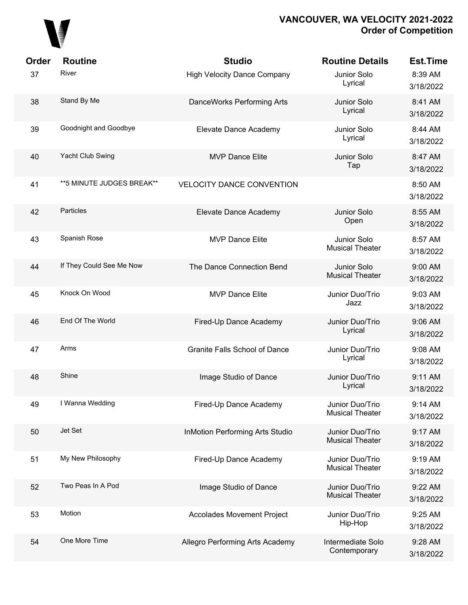

| Order | <b>Routine</b>             | <b>Studio</b>                          | <b>Routine Details</b>                    | <b>Est.Time</b>      |
|-------|----------------------------|----------------------------------------|-------------------------------------------|----------------------|
| 37    | River                      | <b>High Velocity Dance Company</b>     | Junior Solo<br>Lyrical                    | 8:39 AM<br>3/18/2022 |
| 38    | Stand By Me                | DanceWorks Performing Arts             | Junior Solo<br>Lyrical                    | 8:41 AM<br>3/18/2022 |
| 39    | Goodnight and Goodbye      | Elevate Dance Academy                  | Junior Solo<br>Lyrical                    | 8:44 AM<br>3/18/2022 |
| 40    | Yacht Club Swing           | <b>MVP Dance Elite</b>                 | Junior Solo<br>Tap                        | 8:47 AM<br>3/18/2022 |
| 41    | ** 5 MINUTE JUDGES BREAK** | <b>VELOCITY DANCE CONVENTION</b>       |                                           | 8:50 AM<br>3/18/2022 |
| 42    | Particles                  | Elevate Dance Academy                  | Junior Solo<br>Open                       | 8:55 AM<br>3/18/2022 |
| 43    | Spanish Rose               | <b>MVP Dance Elite</b>                 | Junior Solo<br><b>Musical Theater</b>     | 8:57 AM<br>3/18/2022 |
| 44    | If They Could See Me Now   | The Dance Connection Bend              | Junior Solo<br><b>Musical Theater</b>     | 9:00 AM<br>3/18/2022 |
| 45    | Knock On Wood              | <b>MVP Dance Elite</b>                 | Junior Duo/Trio<br>Jazz                   | 9:03 AM<br>3/18/2022 |
| 46    | End Of The World           | Fired-Up Dance Academy                 | Junior Duo/Trio<br>Lyrical                | 9:06 AM<br>3/18/2022 |
| 47    | Arms                       | Granite Falls School of Dance          | Junior Duo/Trio<br>Lyrical                | 9:08 AM<br>3/18/2022 |
| 48    | Shine                      | Image Studio of Dance                  | Junior Duo/Trio<br>Lyrical                | 9:11 AM<br>3/18/2022 |
| 49    | I Wanna Wedding            | Fired-Up Dance Academy                 | Junior Duo/Trio<br><b>Musical Theater</b> | 9:14 AM<br>3/18/2022 |
| 50    | Jet Set                    | <b>InMotion Performing Arts Studio</b> | Junior Duo/Trio<br><b>Musical Theater</b> | 9:17 AM<br>3/18/2022 |
| 51    | My New Philosophy          | Fired-Up Dance Academy                 | Junior Duo/Trio<br><b>Musical Theater</b> | 9:19 AM<br>3/18/2022 |
| 52    | Two Peas In A Pod          | Image Studio of Dance                  | Junior Duo/Trio<br><b>Musical Theater</b> | 9:22 AM<br>3/18/2022 |
| 53    | Motion                     | <b>Accolades Movement Project</b>      | Junior Duo/Trio<br>Hip-Hop                | 9:25 AM<br>3/18/2022 |
| 54    | One More Time              | Allegro Performing Arts Academy        | Intermediate Solo<br>Contemporary         | 9:28 AM<br>3/18/2022 |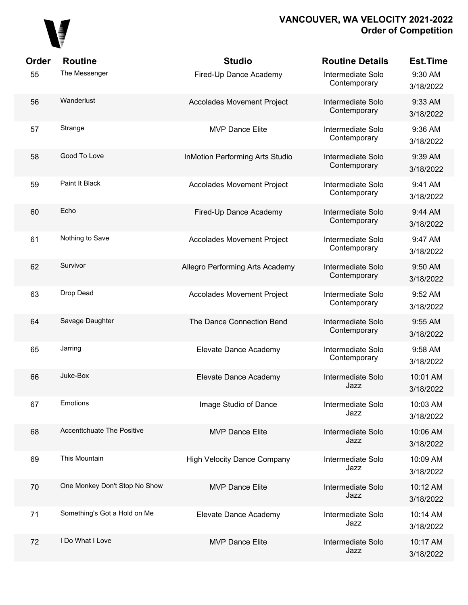

| <b>Order</b> | <b>Routine</b>                | <b>Studio</b>                          | <b>Routine Details</b>            | <b>Est.Time</b>       |
|--------------|-------------------------------|----------------------------------------|-----------------------------------|-----------------------|
| 55           | The Messenger                 | Fired-Up Dance Academy                 | Intermediate Solo<br>Contemporary | 9:30 AM<br>3/18/2022  |
| 56           | Wanderlust                    | <b>Accolades Movement Project</b>      | Intermediate Solo<br>Contemporary | 9:33 AM<br>3/18/2022  |
| 57           | Strange                       | <b>MVP Dance Elite</b>                 | Intermediate Solo<br>Contemporary | 9:36 AM<br>3/18/2022  |
| 58           | Good To Love                  | <b>InMotion Performing Arts Studio</b> | Intermediate Solo<br>Contemporary | 9:39 AM<br>3/18/2022  |
| 59           | Paint It Black                | <b>Accolades Movement Project</b>      | Intermediate Solo<br>Contemporary | 9:41 AM<br>3/18/2022  |
| 60           | Echo                          | Fired-Up Dance Academy                 | Intermediate Solo<br>Contemporary | 9:44 AM<br>3/18/2022  |
| 61           | Nothing to Save               | <b>Accolades Movement Project</b>      | Intermediate Solo<br>Contemporary | 9:47 AM<br>3/18/2022  |
| 62           | Survivor                      | Allegro Performing Arts Academy        | Intermediate Solo<br>Contemporary | 9:50 AM<br>3/18/2022  |
| 63           | Drop Dead                     | <b>Accolades Movement Project</b>      | Intermediate Solo<br>Contemporary | 9:52 AM<br>3/18/2022  |
| 64           | Savage Daughter               | The Dance Connection Bend              | Intermediate Solo<br>Contemporary | 9:55 AM<br>3/18/2022  |
| 65           | Jarring                       | Elevate Dance Academy                  | Intermediate Solo<br>Contemporary | 9:58 AM<br>3/18/2022  |
| 66           | Juke-Box                      | Elevate Dance Academy                  | Intermediate Solo<br>Jazz         | 10:01 AM<br>3/18/2022 |
| 67           | Emotions                      | Image Studio of Dance                  | Intermediate Solo<br>Jazz         | 10:03 AM<br>3/18/2022 |
| 68           | Accenttchuate The Positive    | <b>MVP Dance Elite</b>                 | Intermediate Solo<br>Jazz         | 10:06 AM<br>3/18/2022 |
| 69           | This Mountain                 | <b>High Velocity Dance Company</b>     | Intermediate Solo<br>Jazz         | 10:09 AM<br>3/18/2022 |
| 70           | One Monkey Don't Stop No Show | <b>MVP Dance Elite</b>                 | Intermediate Solo<br>Jazz         | 10:12 AM<br>3/18/2022 |
| 71           | Something's Got a Hold on Me  | Elevate Dance Academy                  | Intermediate Solo<br>Jazz         | 10:14 AM<br>3/18/2022 |
| 72           | I Do What I Love              | <b>MVP Dance Elite</b>                 | Intermediate Solo<br>Jazz         | 10:17 AM<br>3/18/2022 |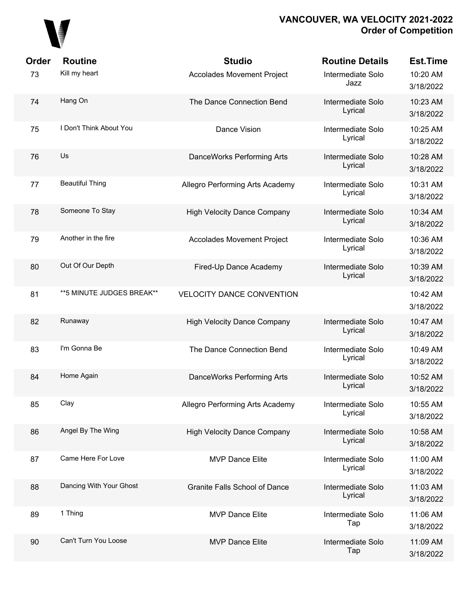

| <b>Order</b> | <b>Routine</b>             | <b>Studio</b>                        | <b>Routine Details</b>       | <b>Est.Time</b>       |
|--------------|----------------------------|--------------------------------------|------------------------------|-----------------------|
| 73           | Kill my heart              | <b>Accolades Movement Project</b>    | Intermediate Solo<br>Jazz    | 10:20 AM<br>3/18/2022 |
| 74           | Hang On                    | The Dance Connection Bend            | Intermediate Solo<br>Lyrical | 10:23 AM<br>3/18/2022 |
| 75           | I Don't Think About You    | Dance Vision                         | Intermediate Solo<br>Lyrical | 10:25 AM<br>3/18/2022 |
| 76           | Us                         | DanceWorks Performing Arts           | Intermediate Solo<br>Lyrical | 10:28 AM<br>3/18/2022 |
| 77           | <b>Beautiful Thing</b>     | Allegro Performing Arts Academy      | Intermediate Solo<br>Lyrical | 10:31 AM<br>3/18/2022 |
| 78           | Someone To Stay            | <b>High Velocity Dance Company</b>   | Intermediate Solo<br>Lyrical | 10:34 AM<br>3/18/2022 |
| 79           | Another in the fire        | <b>Accolades Movement Project</b>    | Intermediate Solo<br>Lyrical | 10:36 AM<br>3/18/2022 |
| 80           | Out Of Our Depth           | Fired-Up Dance Academy               | Intermediate Solo<br>Lyrical | 10:39 AM<br>3/18/2022 |
| 81           | ** 5 MINUTE JUDGES BREAK** | <b>VELOCITY DANCE CONVENTION</b>     |                              | 10:42 AM<br>3/18/2022 |
| 82           | Runaway                    | <b>High Velocity Dance Company</b>   | Intermediate Solo<br>Lyrical | 10:47 AM<br>3/18/2022 |
| 83           | I'm Gonna Be               | The Dance Connection Bend            | Intermediate Solo<br>Lyrical | 10:49 AM<br>3/18/2022 |
| 84           | Home Again                 | DanceWorks Performing Arts           | Intermediate Solo<br>Lyrical | 10:52 AM<br>3/18/2022 |
| 85           | Clay                       | Allegro Performing Arts Academy      | Intermediate Solo<br>Lyrical | 10:55 AM<br>3/18/2022 |
| 86           | Angel By The Wing          | <b>High Velocity Dance Company</b>   | Intermediate Solo<br>Lyrical | 10:58 AM<br>3/18/2022 |
| 87           | Came Here For Love         | <b>MVP Dance Elite</b>               | Intermediate Solo<br>Lyrical | 11:00 AM<br>3/18/2022 |
| 88           | Dancing With Your Ghost    | <b>Granite Falls School of Dance</b> | Intermediate Solo<br>Lyrical | 11:03 AM<br>3/18/2022 |
| 89           | 1 Thing                    | <b>MVP Dance Elite</b>               | Intermediate Solo<br>Tap     | 11:06 AM<br>3/18/2022 |
| 90           | Can't Turn You Loose       | <b>MVP Dance Elite</b>               | Intermediate Solo<br>Tap     | 11:09 AM<br>3/18/2022 |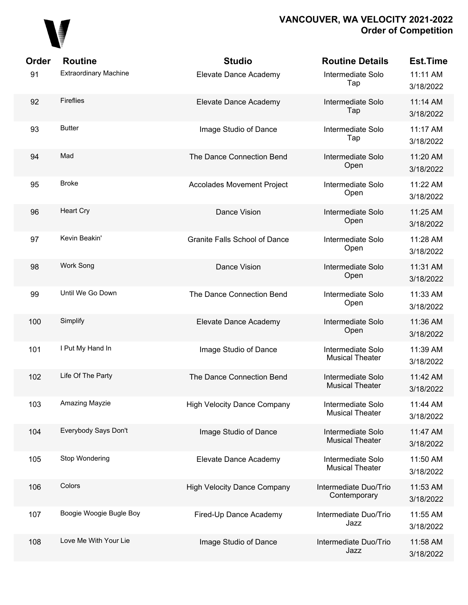

| Order | <b>Routine</b>               | <b>Studio</b>                        | <b>Routine Details</b>                      | <b>Est.Time</b>       |
|-------|------------------------------|--------------------------------------|---------------------------------------------|-----------------------|
| 91    | <b>Extraordinary Machine</b> | Elevate Dance Academy                | Intermediate Solo<br>Tap                    | 11:11 AM<br>3/18/2022 |
| 92    | <b>Fireflies</b>             | Elevate Dance Academy                | Intermediate Solo<br>Tap                    | 11:14 AM<br>3/18/2022 |
| 93    | <b>Butter</b>                | Image Studio of Dance                | Intermediate Solo<br>Tap                    | 11:17 AM<br>3/18/2022 |
| 94    | Mad                          | The Dance Connection Bend            | Intermediate Solo<br>Open                   | 11:20 AM<br>3/18/2022 |
| 95    | Broke                        | <b>Accolades Movement Project</b>    | Intermediate Solo<br>Open                   | 11:22 AM<br>3/18/2022 |
| 96    | <b>Heart Cry</b>             | Dance Vision                         | Intermediate Solo<br>Open                   | 11:25 AM<br>3/18/2022 |
| 97    | Kevin Beakin'                | <b>Granite Falls School of Dance</b> | Intermediate Solo<br>Open                   | 11:28 AM<br>3/18/2022 |
| 98    | Work Song                    | Dance Vision                         | Intermediate Solo<br>Open                   | 11:31 AM<br>3/18/2022 |
| 99    | Until We Go Down             | The Dance Connection Bend            | Intermediate Solo<br>Open                   | 11:33 AM<br>3/18/2022 |
| 100   | Simplify                     | Elevate Dance Academy                | Intermediate Solo<br>Open                   | 11:36 AM<br>3/18/2022 |
| 101   | I Put My Hand In             | Image Studio of Dance                | Intermediate Solo<br><b>Musical Theater</b> | 11:39 AM<br>3/18/2022 |
| 102   | Life Of The Party            | The Dance Connection Bend            | Intermediate Solo<br><b>Musical Theater</b> | 11:42 AM<br>3/18/2022 |
| 103   | Amazing Mayzie               | <b>High Velocity Dance Company</b>   | Intermediate Solo<br><b>Musical Theater</b> | 11:44 AM<br>3/18/2022 |
| 104   | Everybody Says Don't         | Image Studio of Dance                | Intermediate Solo<br><b>Musical Theater</b> | 11:47 AM<br>3/18/2022 |
| 105   | Stop Wondering               | Elevate Dance Academy                | Intermediate Solo<br><b>Musical Theater</b> | 11:50 AM<br>3/18/2022 |
| 106   | Colors                       | <b>High Velocity Dance Company</b>   | Intermediate Duo/Trio<br>Contemporary       | 11:53 AM<br>3/18/2022 |
| 107   | Boogie Woogie Bugle Boy      | Fired-Up Dance Academy               | Intermediate Duo/Trio<br>Jazz               | 11:55 AM<br>3/18/2022 |
| 108   | Love Me With Your Lie        | Image Studio of Dance                | Intermediate Duo/Trio<br>Jazz               | 11:58 AM<br>3/18/2022 |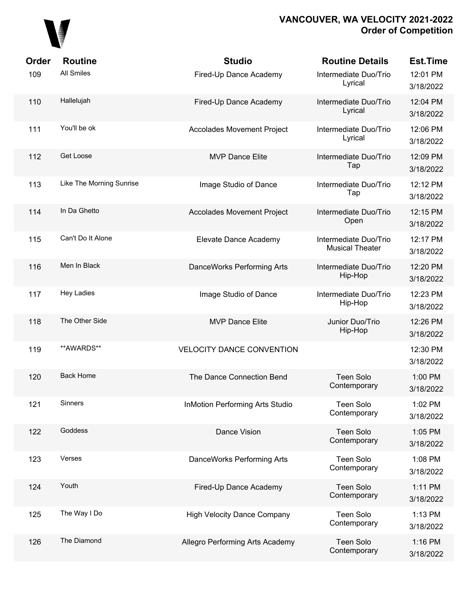# 

| Order | <b>Routine</b>           | <b>Studio</b>                          | <b>Routine Details</b>                          | <b>Est.Time</b>       |
|-------|--------------------------|----------------------------------------|-------------------------------------------------|-----------------------|
| 109   | <b>All Smiles</b>        | Fired-Up Dance Academy                 | Intermediate Duo/Trio<br>Lyrical                | 12:01 PM<br>3/18/2022 |
| 110   | Hallelujah               | Fired-Up Dance Academy                 | Intermediate Duo/Trio<br>Lyrical                | 12:04 PM<br>3/18/2022 |
| 111   | You'll be ok             | <b>Accolades Movement Project</b>      | Intermediate Duo/Trio<br>Lyrical                | 12:06 PM<br>3/18/2022 |
| 112   | Get Loose                | <b>MVP Dance Elite</b>                 | Intermediate Duo/Trio<br>Tap                    | 12:09 PM<br>3/18/2022 |
| 113   | Like The Morning Sunrise | Image Studio of Dance                  | Intermediate Duo/Trio<br>Tap                    | 12:12 PM<br>3/18/2022 |
| 114   | In Da Ghetto             | <b>Accolades Movement Project</b>      | Intermediate Duo/Trio<br>Open                   | 12:15 PM<br>3/18/2022 |
| 115   | Can't Do It Alone        | Elevate Dance Academy                  | Intermediate Duo/Trio<br><b>Musical Theater</b> | 12:17 PM<br>3/18/2022 |
| 116   | Men In Black             | DanceWorks Performing Arts             | Intermediate Duo/Trio<br>Hip-Hop                | 12:20 PM<br>3/18/2022 |
| 117   | <b>Hey Ladies</b>        | Image Studio of Dance                  | Intermediate Duo/Trio<br>Hip-Hop                | 12:23 PM<br>3/18/2022 |
| 118   | The Other Side           | <b>MVP Dance Elite</b>                 | Junior Duo/Trio<br>Hip-Hop                      | 12:26 PM<br>3/18/2022 |
| 119   | **AWARDS**               | <b>VELOCITY DANCE CONVENTION</b>       |                                                 | 12:30 PM<br>3/18/2022 |
| 120   | <b>Back Home</b>         | The Dance Connection Bend              | <b>Teen Solo</b><br>Contemporary                | 1:00 PM<br>3/18/2022  |
| 121   | Sinners                  | <b>InMotion Performing Arts Studio</b> | <b>Teen Solo</b><br>Contemporary                | 1:02 PM<br>3/18/2022  |
| 122   | Goddess                  | Dance Vision                           | <b>Teen Solo</b><br>Contemporary                | 1:05 PM<br>3/18/2022  |
| 123   | Verses                   | DanceWorks Performing Arts             | <b>Teen Solo</b><br>Contemporary                | 1:08 PM<br>3/18/2022  |
| 124   | Youth                    | Fired-Up Dance Academy                 | <b>Teen Solo</b><br>Contemporary                | 1:11 PM<br>3/18/2022  |
| 125   | The Way I Do             | <b>High Velocity Dance Company</b>     | <b>Teen Solo</b><br>Contemporary                | 1:13 PM<br>3/18/2022  |
| 126   | The Diamond              | Allegro Performing Arts Academy        | <b>Teen Solo</b><br>Contemporary                | 1:16 PM<br>3/18/2022  |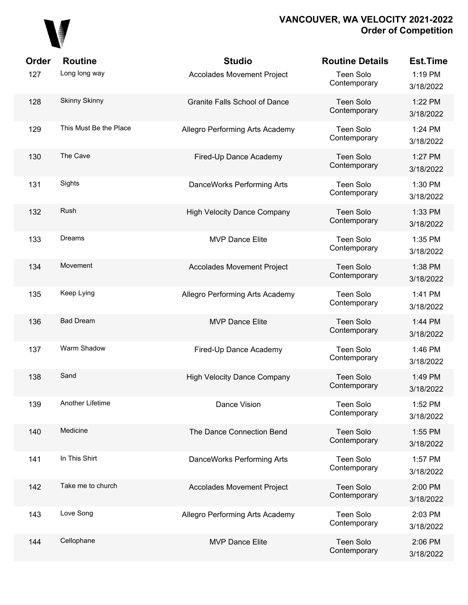

| Order | <b>Routine</b>         | <b>Studio</b>                        | <b>Routine Details</b>           | <b>Est.Time</b>      |
|-------|------------------------|--------------------------------------|----------------------------------|----------------------|
| 127   | Long long way          | <b>Accolades Movement Project</b>    | <b>Teen Solo</b><br>Contemporary | 1:19 PM<br>3/18/2022 |
| 128   | <b>Skinny Skinny</b>   | <b>Granite Falls School of Dance</b> | <b>Teen Solo</b><br>Contemporary | 1:22 PM<br>3/18/2022 |
| 129   | This Must Be the Place | Allegro Performing Arts Academy      | Teen Solo<br>Contemporary        | 1:24 PM<br>3/18/2022 |
| 130   | The Cave               | Fired-Up Dance Academy               | <b>Teen Solo</b><br>Contemporary | 1:27 PM<br>3/18/2022 |
| 131   | Sights                 | DanceWorks Performing Arts           | Teen Solo<br>Contemporary        | 1:30 PM<br>3/18/2022 |
| 132   | Rush                   | <b>High Velocity Dance Company</b>   | <b>Teen Solo</b><br>Contemporary | 1:33 PM<br>3/18/2022 |
| 133   | Dreams                 | <b>MVP Dance Elite</b>               | Teen Solo<br>Contemporary        | 1:35 PM<br>3/18/2022 |
| 134   | Movement               | Accolades Movement Project           | Teen Solo<br>Contemporary        | 1:38 PM<br>3/18/2022 |
| 135   | Keep Lying             | Allegro Performing Arts Academy      | Teen Solo<br>Contemporary        | 1:41 PM<br>3/18/2022 |
| 136   | <b>Bad Dream</b>       | <b>MVP Dance Elite</b>               | Teen Solo<br>Contemporary        | 1:44 PM<br>3/18/2022 |
| 137   | Warm Shadow            | Fired-Up Dance Academy               | Teen Solo<br>Contemporary        | 1:46 PM<br>3/18/2022 |
| 138   | Sand                   | <b>High Velocity Dance Company</b>   | <b>Teen Solo</b><br>Contemporary | 1:49 PM<br>3/18/2022 |
| 139   | Another Lifetime       | Dance Vision                         | <b>Teen Solo</b><br>Contemporary | 1:52 PM<br>3/18/2022 |
| 140   | Medicine               | The Dance Connection Bend            | <b>Teen Solo</b><br>Contemporary | 1:55 PM<br>3/18/2022 |
| 141   | In This Shirt          | DanceWorks Performing Arts           | <b>Teen Solo</b><br>Contemporary | 1:57 PM<br>3/18/2022 |
| 142   | Take me to church      | <b>Accolades Movement Project</b>    | <b>Teen Solo</b><br>Contemporary | 2:00 PM<br>3/18/2022 |
| 143   | Love Song              | Allegro Performing Arts Academy      | <b>Teen Solo</b><br>Contemporary | 2:03 PM<br>3/18/2022 |
| 144   | Cellophane             | <b>MVP Dance Elite</b>               | <b>Teen Solo</b><br>Contemporary | 2:06 PM<br>3/18/2022 |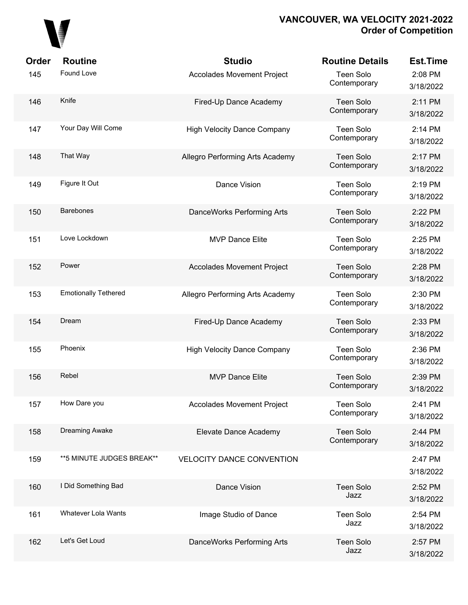

| Order | <b>Routine</b>              | <b>Studio</b>                      | <b>Routine Details</b>           | <b>Est.Time</b>      |
|-------|-----------------------------|------------------------------------|----------------------------------|----------------------|
| 145   | Found Love                  | Accolades Movement Project         | Teen Solo<br>Contemporary        | 2:08 PM<br>3/18/2022 |
| 146   | Knife                       | Fired-Up Dance Academy             | Teen Solo<br>Contemporary        | 2:11 PM<br>3/18/2022 |
| 147   | Your Day Will Come          | <b>High Velocity Dance Company</b> | Teen Solo<br>Contemporary        | 2:14 PM<br>3/18/2022 |
| 148   | That Way                    | Allegro Performing Arts Academy    | <b>Teen Solo</b><br>Contemporary | 2:17 PM<br>3/18/2022 |
| 149   | Figure It Out               | Dance Vision                       | Teen Solo<br>Contemporary        | 2:19 PM<br>3/18/2022 |
| 150   | <b>Barebones</b>            | DanceWorks Performing Arts         | <b>Teen Solo</b><br>Contemporary | 2:22 PM<br>3/18/2022 |
| 151   | Love Lockdown               | <b>MVP Dance Elite</b>             | Teen Solo<br>Contemporary        | 2:25 PM<br>3/18/2022 |
| 152   | Power                       | <b>Accolades Movement Project</b>  | <b>Teen Solo</b><br>Contemporary | 2:28 PM<br>3/18/2022 |
| 153   | <b>Emotionally Tethered</b> | Allegro Performing Arts Academy    | Teen Solo<br>Contemporary        | 2:30 PM<br>3/18/2022 |
| 154   | Dream                       | Fired-Up Dance Academy             | <b>Teen Solo</b><br>Contemporary | 2:33 PM<br>3/18/2022 |
| 155   | Phoenix                     | <b>High Velocity Dance Company</b> | Teen Solo<br>Contemporary        | 2:36 PM<br>3/18/2022 |
| 156   | Rebel                       | <b>MVP Dance Elite</b>             | <b>Teen Solo</b><br>Contemporary | 2:39 PM<br>3/18/2022 |
| 157   | How Dare you                | Accolades Movement Project         | Teen Solo<br>Contemporary        | 2:41 PM<br>3/18/2022 |
| 158   | Dreaming Awake              | Elevate Dance Academy              | <b>Teen Solo</b><br>Contemporary | 2:44 PM<br>3/18/2022 |
| 159   | ** 5 MINUTE JUDGES BREAK**  | <b>VELOCITY DANCE CONVENTION</b>   |                                  | 2:47 PM<br>3/18/2022 |
| 160   | I Did Something Bad         | Dance Vision                       | <b>Teen Solo</b><br>Jazz         | 2:52 PM<br>3/18/2022 |
| 161   | Whatever Lola Wants         | Image Studio of Dance              | Teen Solo<br>Jazz                | 2:54 PM<br>3/18/2022 |
| 162   | Let's Get Loud              | DanceWorks Performing Arts         | <b>Teen Solo</b><br>Jazz         | 2:57 PM<br>3/18/2022 |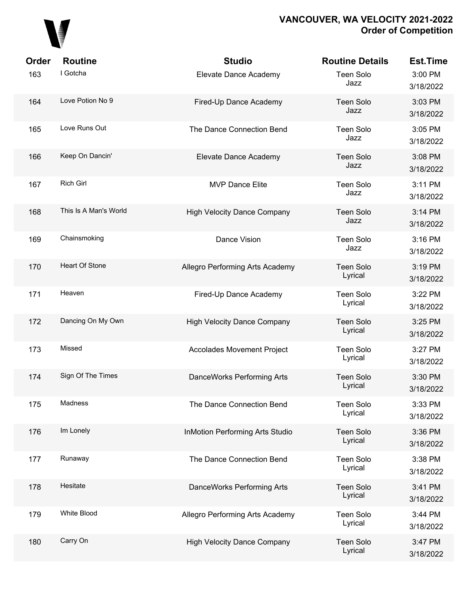

| Order | <b>Routine</b>        | <b>Studio</b>                          | <b>Routine Details</b>      | <b>Est.Time</b>      |
|-------|-----------------------|----------------------------------------|-----------------------------|----------------------|
| 163   | I Gotcha              | Elevate Dance Academy                  | <b>Teen Solo</b><br>Jazz    | 3:00 PM<br>3/18/2022 |
| 164   | Love Potion No 9      | Fired-Up Dance Academy                 | <b>Teen Solo</b><br>Jazz    | 3:03 PM<br>3/18/2022 |
| 165   | Love Runs Out         | The Dance Connection Bend              | <b>Teen Solo</b><br>Jazz    | 3:05 PM<br>3/18/2022 |
| 166   | Keep On Dancin'       | Elevate Dance Academy                  | <b>Teen Solo</b><br>Jazz    | 3:08 PM<br>3/18/2022 |
| 167   | <b>Rich Girl</b>      | <b>MVP Dance Elite</b>                 | <b>Teen Solo</b><br>Jazz    | 3:11 PM<br>3/18/2022 |
| 168   | This Is A Man's World | <b>High Velocity Dance Company</b>     | <b>Teen Solo</b><br>Jazz    | 3:14 PM<br>3/18/2022 |
| 169   | Chainsmoking          | Dance Vision                           | <b>Teen Solo</b><br>Jazz    | 3:16 PM<br>3/18/2022 |
| 170   | Heart Of Stone        | Allegro Performing Arts Academy        | <b>Teen Solo</b><br>Lyrical | 3:19 PM<br>3/18/2022 |
| 171   | Heaven                | Fired-Up Dance Academy                 | <b>Teen Solo</b><br>Lyrical | 3:22 PM<br>3/18/2022 |
| 172   | Dancing On My Own     | <b>High Velocity Dance Company</b>     | <b>Teen Solo</b><br>Lyrical | 3:25 PM<br>3/18/2022 |
| 173   | Missed                | <b>Accolades Movement Project</b>      | Teen Solo<br>Lyrical        | 3:27 PM<br>3/18/2022 |
| 174   | Sign Of The Times     | DanceWorks Performing Arts             | <b>Teen Solo</b><br>Lyrical | 3:30 PM<br>3/18/2022 |
| 175   | Madness               | The Dance Connection Bend              | <b>Teen Solo</b><br>Lyrical | 3:33 PM<br>3/18/2022 |
| 176   | Im Lonely             | <b>InMotion Performing Arts Studio</b> | <b>Teen Solo</b><br>Lyrical | 3:36 PM<br>3/18/2022 |
| 177   | Runaway               | The Dance Connection Bend              | <b>Teen Solo</b><br>Lyrical | 3:38 PM<br>3/18/2022 |
| 178   | Hesitate              | DanceWorks Performing Arts             | <b>Teen Solo</b><br>Lyrical | 3:41 PM<br>3/18/2022 |
| 179   | White Blood           | Allegro Performing Arts Academy        | <b>Teen Solo</b><br>Lyrical | 3:44 PM<br>3/18/2022 |
| 180   | Carry On              | <b>High Velocity Dance Company</b>     | <b>Teen Solo</b><br>Lyrical | 3:47 PM<br>3/18/2022 |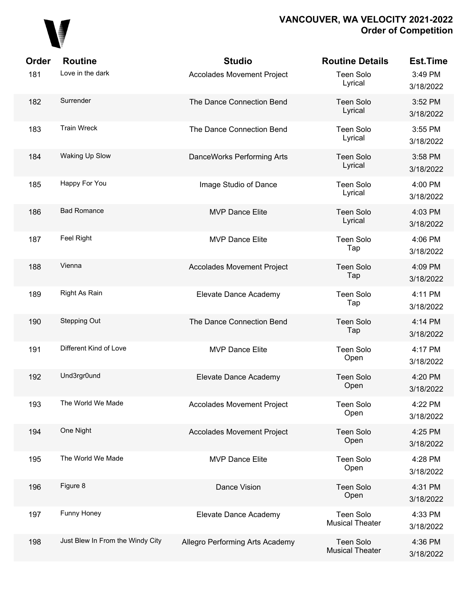

| Order | <b>Routine</b>                   | <b>Studio</b>                     | <b>Routine Details</b>                     | <b>Est.Time</b>      |
|-------|----------------------------------|-----------------------------------|--------------------------------------------|----------------------|
| 181   | Love in the dark                 | <b>Accolades Movement Project</b> | <b>Teen Solo</b><br>Lyrical                | 3:49 PM<br>3/18/2022 |
| 182   | Surrender                        | The Dance Connection Bend         | <b>Teen Solo</b><br>Lyrical                | 3:52 PM<br>3/18/2022 |
| 183   | <b>Train Wreck</b>               | The Dance Connection Bend         | <b>Teen Solo</b><br>Lyrical                | 3:55 PM<br>3/18/2022 |
| 184   | Waking Up Slow                   | DanceWorks Performing Arts        | <b>Teen Solo</b><br>Lyrical                | 3:58 PM<br>3/18/2022 |
| 185   | Happy For You                    | Image Studio of Dance             | <b>Teen Solo</b><br>Lyrical                | 4:00 PM<br>3/18/2022 |
| 186   | <b>Bad Romance</b>               | <b>MVP Dance Elite</b>            | <b>Teen Solo</b><br>Lyrical                | 4:03 PM<br>3/18/2022 |
| 187   | Feel Right                       | <b>MVP Dance Elite</b>            | <b>Teen Solo</b><br>Tap                    | 4:06 PM<br>3/18/2022 |
| 188   | Vienna                           | <b>Accolades Movement Project</b> | <b>Teen Solo</b><br>Tap                    | 4:09 PM<br>3/18/2022 |
| 189   | Right As Rain                    | Elevate Dance Academy             | <b>Teen Solo</b><br>Tap                    | 4:11 PM<br>3/18/2022 |
| 190   | <b>Stepping Out</b>              | The Dance Connection Bend         | <b>Teen Solo</b><br>Tap                    | 4:14 PM<br>3/18/2022 |
| 191   | Different Kind of Love           | <b>MVP Dance Elite</b>            | <b>Teen Solo</b><br>Open                   | 4:17 PM<br>3/18/2022 |
| 192   | Und3rgr0und                      | Elevate Dance Academy             | <b>Teen Solo</b><br>Open                   | 4:20 PM<br>3/18/2022 |
| 193   | The World We Made                | <b>Accolades Movement Project</b> | <b>Teen Solo</b><br>Open                   | 4:22 PM<br>3/18/2022 |
| 194   | One Night                        | <b>Accolades Movement Project</b> | <b>Teen Solo</b><br>Open                   | 4:25 PM<br>3/18/2022 |
| 195   | The World We Made                | <b>MVP Dance Elite</b>            | <b>Teen Solo</b><br>Open                   | 4:28 PM<br>3/18/2022 |
| 196   | Figure 8                         | Dance Vision                      | <b>Teen Solo</b><br>Open                   | 4:31 PM<br>3/18/2022 |
| 197   | Funny Honey                      | Elevate Dance Academy             | <b>Teen Solo</b><br><b>Musical Theater</b> | 4:33 PM<br>3/18/2022 |
| 198   | Just Blew In From the Windy City | Allegro Performing Arts Academy   | <b>Teen Solo</b><br><b>Musical Theater</b> | 4:36 PM<br>3/18/2022 |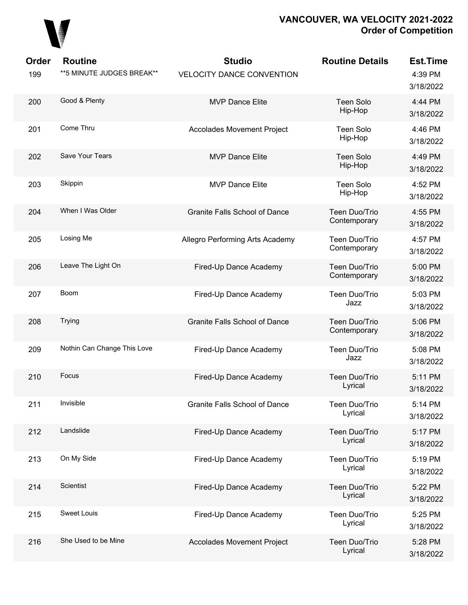

| Order<br>199 | <b>Routine</b><br>** 5 MINUTE JUDGES BREAK** | <b>Studio</b><br><b>VELOCITY DANCE CONVENTION</b> | <b>Routine Details</b>        | <b>Est.Time</b><br>4:39 PM<br>3/18/2022 |
|--------------|----------------------------------------------|---------------------------------------------------|-------------------------------|-----------------------------------------|
| 200          | Good & Plenty                                | <b>MVP Dance Elite</b>                            | <b>Teen Solo</b><br>Hip-Hop   | 4:44 PM<br>3/18/2022                    |
| 201          | Come Thru                                    | <b>Accolades Movement Project</b>                 | Teen Solo<br>Hip-Hop          | 4:46 PM<br>3/18/2022                    |
| 202          | Save Your Tears                              | <b>MVP Dance Elite</b>                            | <b>Teen Solo</b><br>Hip-Hop   | 4:49 PM<br>3/18/2022                    |
| 203          | Skippin                                      | <b>MVP Dance Elite</b>                            | Teen Solo<br>Hip-Hop          | 4:52 PM<br>3/18/2022                    |
| 204          | When I Was Older                             | <b>Granite Falls School of Dance</b>              | Teen Duo/Trio<br>Contemporary | 4:55 PM<br>3/18/2022                    |
| 205          | Losing Me                                    | Allegro Performing Arts Academy                   | Teen Duo/Trio<br>Contemporary | 4:57 PM<br>3/18/2022                    |
| 206          | Leave The Light On                           | Fired-Up Dance Academy                            | Teen Duo/Trio<br>Contemporary | 5:00 PM<br>3/18/2022                    |
| 207          | Boom                                         | Fired-Up Dance Academy                            | Teen Duo/Trio<br>Jazz         | 5:03 PM<br>3/18/2022                    |
| 208          | Trying                                       | <b>Granite Falls School of Dance</b>              | Teen Duo/Trio<br>Contemporary | 5:06 PM<br>3/18/2022                    |
| 209          | Nothin Can Change This Love                  | Fired-Up Dance Academy                            | Teen Duo/Trio<br>Jazz         | 5:08 PM<br>3/18/2022                    |
| 210          | Focus                                        | Fired-Up Dance Academy                            | Teen Duo/Trio<br>Lyrical      | 5:11 PM<br>3/18/2022                    |
| 211          | Invisible                                    | Granite Falls School of Dance                     | Teen Duo/Trio<br>Lyrical      | 5:14 PM<br>3/18/2022                    |
| 212          | Landslide                                    | Fired-Up Dance Academy                            | Teen Duo/Trio<br>Lyrical      | 5:17 PM<br>3/18/2022                    |
| 213          | On My Side                                   | Fired-Up Dance Academy                            | Teen Duo/Trio<br>Lyrical      | 5:19 PM<br>3/18/2022                    |
| 214          | Scientist                                    | Fired-Up Dance Academy                            | Teen Duo/Trio<br>Lyrical      | 5:22 PM<br>3/18/2022                    |
| 215          | <b>Sweet Louis</b>                           | Fired-Up Dance Academy                            | Teen Duo/Trio<br>Lyrical      | 5:25 PM<br>3/18/2022                    |
| 216          | She Used to be Mine                          | <b>Accolades Movement Project</b>                 | Teen Duo/Trio<br>Lyrical      | 5:28 PM<br>3/18/2022                    |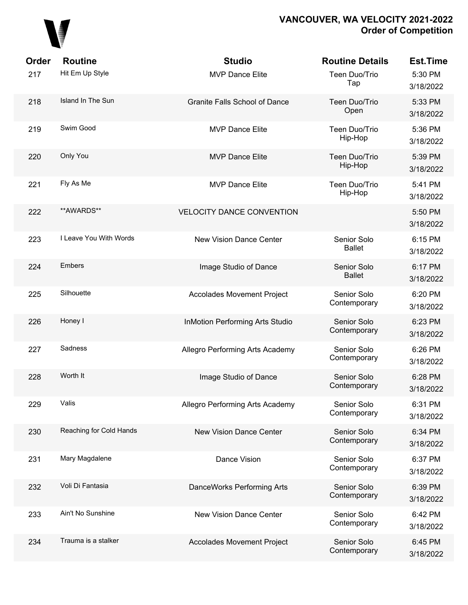

| Order | <b>Routine</b>          | <b>Studio</b>                          | <b>Routine Details</b>       | <b>Est.Time</b>      |
|-------|-------------------------|----------------------------------------|------------------------------|----------------------|
| 217   | Hit Em Up Style         | <b>MVP Dance Elite</b>                 | Teen Duo/Trio<br>Tap         | 5:30 PM<br>3/18/2022 |
| 218   | Island In The Sun       | <b>Granite Falls School of Dance</b>   | Teen Duo/Trio<br>Open        | 5:33 PM<br>3/18/2022 |
| 219   | Swim Good               | <b>MVP Dance Elite</b>                 | Teen Duo/Trio<br>Hip-Hop     | 5:36 PM<br>3/18/2022 |
| 220   | Only You                | <b>MVP Dance Elite</b>                 | Teen Duo/Trio<br>Hip-Hop     | 5:39 PM<br>3/18/2022 |
| 221   | Fly As Me               | <b>MVP Dance Elite</b>                 | Teen Duo/Trio<br>Hip-Hop     | 5:41 PM<br>3/18/2022 |
| 222   | **AWARDS**              | <b>VELOCITY DANCE CONVENTION</b>       |                              | 5:50 PM<br>3/18/2022 |
| 223   | I Leave You With Words  | <b>New Vision Dance Center</b>         | Senior Solo<br><b>Ballet</b> | 6:15 PM<br>3/18/2022 |
| 224   | <b>Embers</b>           | Image Studio of Dance                  | Senior Solo<br><b>Ballet</b> | 6:17 PM<br>3/18/2022 |
| 225   | Silhouette              | <b>Accolades Movement Project</b>      | Senior Solo<br>Contemporary  | 6:20 PM<br>3/18/2022 |
| 226   | Honey I                 | <b>InMotion Performing Arts Studio</b> | Senior Solo<br>Contemporary  | 6:23 PM<br>3/18/2022 |
| 227   | Sadness                 | Allegro Performing Arts Academy        | Senior Solo<br>Contemporary  | 6:26 PM<br>3/18/2022 |
| 228   | Worth It                | Image Studio of Dance                  | Senior Solo<br>Contemporary  | 6:28 PM<br>3/18/2022 |
| 229   | Valis                   | Allegro Performing Arts Academy        | Senior Solo<br>Contemporary  | 6:31 PM<br>3/18/2022 |
| 230   | Reaching for Cold Hands | New Vision Dance Center                | Senior Solo<br>Contemporary  | 6:34 PM<br>3/18/2022 |
| 231   | Mary Magdalene          | Dance Vision                           | Senior Solo<br>Contemporary  | 6:37 PM<br>3/18/2022 |
| 232   | Voli Di Fantasia        | DanceWorks Performing Arts             | Senior Solo<br>Contemporary  | 6:39 PM<br>3/18/2022 |
| 233   | Ain't No Sunshine       | <b>New Vision Dance Center</b>         | Senior Solo<br>Contemporary  | 6:42 PM<br>3/18/2022 |
| 234   | Trauma is a stalker     | <b>Accolades Movement Project</b>      | Senior Solo<br>Contemporary  | 6:45 PM<br>3/18/2022 |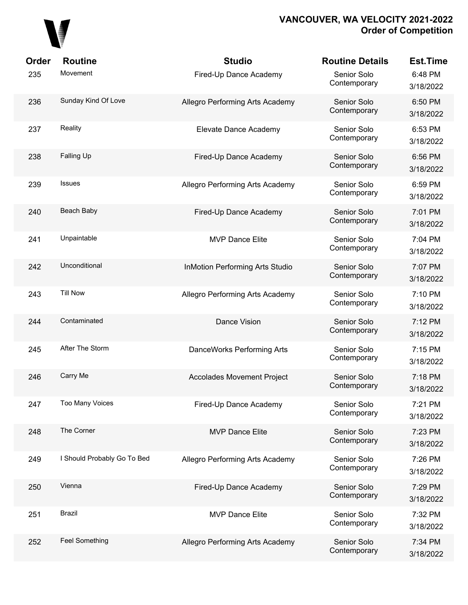

| Order | <b>Routine</b>              | <b>Studio</b>                          | <b>Routine Details</b>      | <b>Est.Time</b>      |
|-------|-----------------------------|----------------------------------------|-----------------------------|----------------------|
| 235   | Movement                    | Fired-Up Dance Academy                 | Senior Solo<br>Contemporary | 6:48 PM<br>3/18/2022 |
| 236   | Sunday Kind Of Love         | Allegro Performing Arts Academy        | Senior Solo<br>Contemporary | 6:50 PM<br>3/18/2022 |
| 237   | Reality                     | Elevate Dance Academy                  | Senior Solo<br>Contemporary | 6:53 PM<br>3/18/2022 |
| 238   | Falling Up                  | Fired-Up Dance Academy                 | Senior Solo<br>Contemporary | 6:56 PM<br>3/18/2022 |
| 239   | <b>Issues</b>               | Allegro Performing Arts Academy        | Senior Solo<br>Contemporary | 6:59 PM<br>3/18/2022 |
| 240   | Beach Baby                  | Fired-Up Dance Academy                 | Senior Solo<br>Contemporary | 7:01 PM<br>3/18/2022 |
| 241   | Unpaintable                 | <b>MVP Dance Elite</b>                 | Senior Solo<br>Contemporary | 7:04 PM<br>3/18/2022 |
| 242   | Unconditional               | <b>InMotion Performing Arts Studio</b> | Senior Solo<br>Contemporary | 7:07 PM<br>3/18/2022 |
| 243   | <b>Till Now</b>             | Allegro Performing Arts Academy        | Senior Solo<br>Contemporary | 7:10 PM<br>3/18/2022 |
| 244   | Contaminated                | Dance Vision                           | Senior Solo<br>Contemporary | 7:12 PM<br>3/18/2022 |
| 245   | After The Storm             | DanceWorks Performing Arts             | Senior Solo<br>Contemporary | 7:15 PM<br>3/18/2022 |
| 246   | Carry Me                    | <b>Accolades Movement Project</b>      | Senior Solo<br>Contemporary | 7:18 PM<br>3/18/2022 |
| 247   | <b>Too Many Voices</b>      | Fired-Up Dance Academy                 | Senior Solo<br>Contemporary | 7:21 PM<br>3/18/2022 |
| 248   | The Corner                  | <b>MVP Dance Elite</b>                 | Senior Solo<br>Contemporary | 7:23 PM<br>3/18/2022 |
| 249   | I Should Probably Go To Bed | Allegro Performing Arts Academy        | Senior Solo<br>Contemporary | 7:26 PM<br>3/18/2022 |
| 250   | Vienna                      | Fired-Up Dance Academy                 | Senior Solo<br>Contemporary | 7:29 PM<br>3/18/2022 |
| 251   | <b>Brazil</b>               | <b>MVP Dance Elite</b>                 | Senior Solo<br>Contemporary | 7:32 PM<br>3/18/2022 |
| 252   | <b>Feel Something</b>       | Allegro Performing Arts Academy        | Senior Solo<br>Contemporary | 7:34 PM<br>3/18/2022 |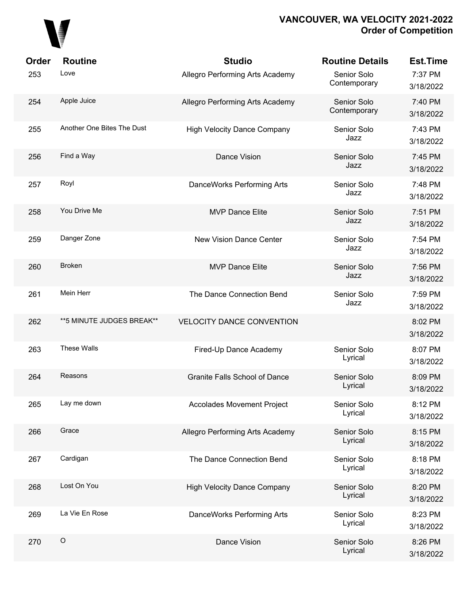

| Order | <b>Routine</b>             | <b>Studio</b>                        | <b>Routine Details</b>      | <b>Est.Time</b>      |
|-------|----------------------------|--------------------------------------|-----------------------------|----------------------|
| 253   | Love                       | Allegro Performing Arts Academy      | Senior Solo<br>Contemporary | 7:37 PM<br>3/18/2022 |
| 254   | Apple Juice                | Allegro Performing Arts Academy      | Senior Solo<br>Contemporary | 7:40 PM<br>3/18/2022 |
| 255   | Another One Bites The Dust | <b>High Velocity Dance Company</b>   | Senior Solo<br>Jazz         | 7:43 PM<br>3/18/2022 |
| 256   | Find a Way                 | Dance Vision                         | Senior Solo<br>Jazz         | 7:45 PM<br>3/18/2022 |
| 257   | Royl                       | DanceWorks Performing Arts           | Senior Solo<br>Jazz         | 7:48 PM<br>3/18/2022 |
| 258   | You Drive Me               | <b>MVP Dance Elite</b>               | Senior Solo<br>Jazz         | 7:51 PM<br>3/18/2022 |
| 259   | Danger Zone                | <b>New Vision Dance Center</b>       | Senior Solo<br>Jazz         | 7:54 PM<br>3/18/2022 |
| 260   | <b>Broken</b>              | <b>MVP Dance Elite</b>               | Senior Solo<br>Jazz         | 7:56 PM<br>3/18/2022 |
| 261   | Mein Herr                  | The Dance Connection Bend            | Senior Solo<br>Jazz         | 7:59 PM<br>3/18/2022 |
| 262   | **5 MINUTE JUDGES BREAK**  | <b>VELOCITY DANCE CONVENTION</b>     |                             | 8:02 PM<br>3/18/2022 |
| 263   | These Walls                | Fired-Up Dance Academy               | Senior Solo<br>Lyrical      | 8:07 PM<br>3/18/2022 |
| 264   | Reasons                    | <b>Granite Falls School of Dance</b> | Senior Solo<br>Lyrical      | 8:09 PM<br>3/18/2022 |
| 265   | Lay me down                | <b>Accolades Movement Project</b>    | Senior Solo<br>Lyrical      | 8:12 PM<br>3/18/2022 |
| 266   | Grace                      | Allegro Performing Arts Academy      | Senior Solo<br>Lyrical      | 8:15 PM<br>3/18/2022 |
| 267   | Cardigan                   | The Dance Connection Bend            | Senior Solo<br>Lyrical      | 8:18 PM<br>3/18/2022 |
| 268   | Lost On You                | <b>High Velocity Dance Company</b>   | Senior Solo<br>Lyrical      | 8:20 PM<br>3/18/2022 |
| 269   | La Vie En Rose             | DanceWorks Performing Arts           | Senior Solo<br>Lyrical      | 8:23 PM<br>3/18/2022 |
| 270   | $\circ$                    | Dance Vision                         | Senior Solo<br>Lyrical      | 8:26 PM<br>3/18/2022 |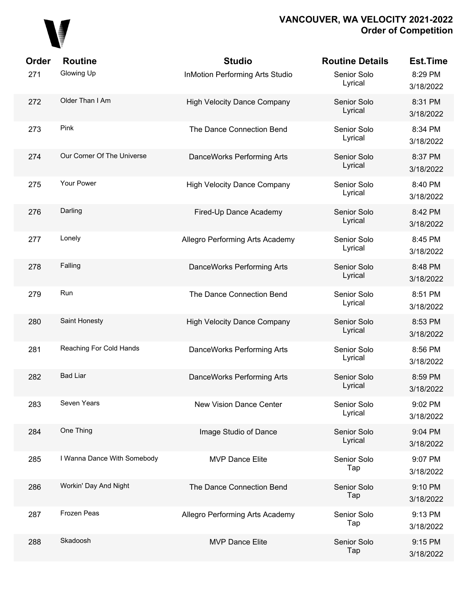

| Order | <b>Routine</b>              | <b>Studio</b>                          | <b>Routine Details</b> | <b>Est.Time</b>      |
|-------|-----------------------------|----------------------------------------|------------------------|----------------------|
| 271   | Glowing Up                  | <b>InMotion Performing Arts Studio</b> | Senior Solo<br>Lyrical | 8:29 PM<br>3/18/2022 |
| 272   | Older Than I Am             | <b>High Velocity Dance Company</b>     | Senior Solo<br>Lyrical | 8:31 PM<br>3/18/2022 |
| 273   | Pink                        | The Dance Connection Bend              | Senior Solo<br>Lyrical | 8:34 PM<br>3/18/2022 |
| 274   | Our Corner Of The Universe  | DanceWorks Performing Arts             | Senior Solo<br>Lyrical | 8:37 PM<br>3/18/2022 |
| 275   | Your Power                  | <b>High Velocity Dance Company</b>     | Senior Solo<br>Lyrical | 8:40 PM<br>3/18/2022 |
| 276   | Darling                     | Fired-Up Dance Academy                 | Senior Solo<br>Lyrical | 8:42 PM<br>3/18/2022 |
| 277   | Lonely                      | Allegro Performing Arts Academy        | Senior Solo<br>Lyrical | 8:45 PM<br>3/18/2022 |
| 278   | Falling                     | DanceWorks Performing Arts             | Senior Solo<br>Lyrical | 8:48 PM<br>3/18/2022 |
| 279   | Run                         | The Dance Connection Bend              | Senior Solo<br>Lyrical | 8:51 PM<br>3/18/2022 |
| 280   | Saint Honesty               | <b>High Velocity Dance Company</b>     | Senior Solo<br>Lyrical | 8:53 PM<br>3/18/2022 |
| 281   | Reaching For Cold Hands     | DanceWorks Performing Arts             | Senior Solo<br>Lyrical | 8:56 PM<br>3/18/2022 |
| 282   | <b>Bad Liar</b>             | DanceWorks Performing Arts             | Senior Solo<br>Lyrical | 8:59 PM<br>3/18/2022 |
| 283   | Seven Years                 | New Vision Dance Center                | Senior Solo<br>Lyrical | 9:02 PM<br>3/18/2022 |
| 284   | One Thing                   | Image Studio of Dance                  | Senior Solo<br>Lyrical | 9:04 PM<br>3/18/2022 |
| 285   | I Wanna Dance With Somebody | <b>MVP Dance Elite</b>                 | Senior Solo<br>Tap     | 9:07 PM<br>3/18/2022 |
| 286   | Workin' Day And Night       | The Dance Connection Bend              | Senior Solo<br>Tap     | 9:10 PM<br>3/18/2022 |
| 287   | Frozen Peas                 | Allegro Performing Arts Academy        | Senior Solo<br>Tap     | 9:13 PM<br>3/18/2022 |
| 288   | Skadoosh                    | <b>MVP Dance Elite</b>                 | Senior Solo<br>Tap     | 9:15 PM<br>3/18/2022 |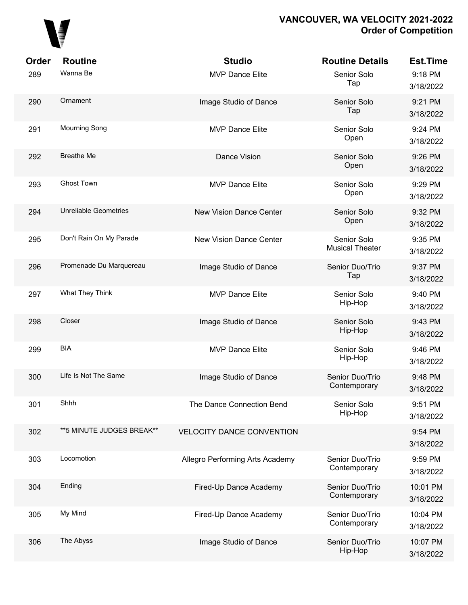

| Order | <b>Routine</b>               | <b>Studio</b>                    | <b>Routine Details</b>                | <b>Est.Time</b>       |
|-------|------------------------------|----------------------------------|---------------------------------------|-----------------------|
| 289   | Wanna Be                     | <b>MVP Dance Elite</b>           | Senior Solo<br>Tap                    | 9:18 PM<br>3/18/2022  |
| 290   | Ornament                     | Image Studio of Dance            | Senior Solo<br>Tap                    | 9:21 PM<br>3/18/2022  |
| 291   | <b>Mourning Song</b>         | <b>MVP Dance Elite</b>           | Senior Solo<br>Open                   | 9:24 PM<br>3/18/2022  |
| 292   | <b>Breathe Me</b>            | Dance Vision                     | Senior Solo<br>Open                   | 9:26 PM<br>3/18/2022  |
| 293   | <b>Ghost Town</b>            | <b>MVP Dance Elite</b>           | Senior Solo<br>Open                   | 9:29 PM<br>3/18/2022  |
| 294   | <b>Unreliable Geometries</b> | <b>New Vision Dance Center</b>   | Senior Solo<br>Open                   | 9:32 PM<br>3/18/2022  |
| 295   | Don't Rain On My Parade      | <b>New Vision Dance Center</b>   | Senior Solo<br><b>Musical Theater</b> | 9:35 PM<br>3/18/2022  |
| 296   | Promenade Du Marquereau      | Image Studio of Dance            | Senior Duo/Trio<br>Tap                | 9:37 PM<br>3/18/2022  |
| 297   | What They Think              | <b>MVP Dance Elite</b>           | Senior Solo<br>Hip-Hop                | 9:40 PM<br>3/18/2022  |
| 298   | Closer                       | Image Studio of Dance            | Senior Solo<br>Hip-Hop                | 9:43 PM<br>3/18/2022  |
| 299   | <b>BIA</b>                   | <b>MVP Dance Elite</b>           | Senior Solo<br>Hip-Hop                | 9:46 PM<br>3/18/2022  |
| 300   | Life Is Not The Same         | Image Studio of Dance            | Senior Duo/Trio<br>Contemporary       | 9:48 PM<br>3/18/2022  |
| 301   | Shhh                         | The Dance Connection Bend        | Senior Solo<br>Hip-Hop                | 9:51 PM<br>3/18/2022  |
| 302   | ** 5 MINUTE JUDGES BREAK**   | <b>VELOCITY DANCE CONVENTION</b> |                                       | 9:54 PM<br>3/18/2022  |
| 303   | Locomotion                   | Allegro Performing Arts Academy  | Senior Duo/Trio<br>Contemporary       | 9:59 PM<br>3/18/2022  |
| 304   | Ending                       | Fired-Up Dance Academy           | Senior Duo/Trio<br>Contemporary       | 10:01 PM<br>3/18/2022 |
| 305   | My Mind                      | Fired-Up Dance Academy           | Senior Duo/Trio<br>Contemporary       | 10:04 PM<br>3/18/2022 |
| 306   | The Abyss                    | Image Studio of Dance            | Senior Duo/Trio<br>Hip-Hop            | 10:07 PM<br>3/18/2022 |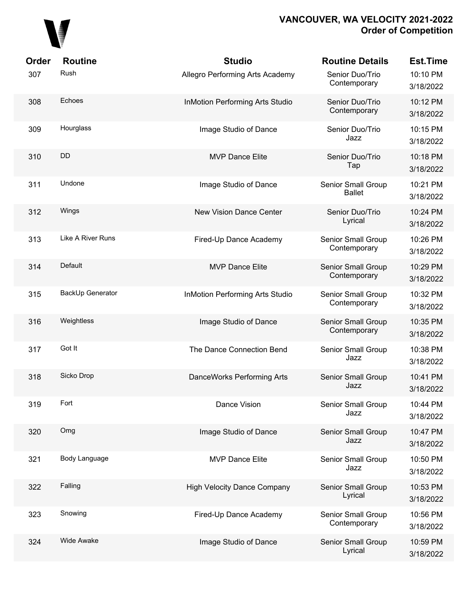

| Order | <b>Routine</b>    | <b>Studio</b>                          | <b>Routine Details</b>              | <b>Est.Time</b>       |
|-------|-------------------|----------------------------------------|-------------------------------------|-----------------------|
| 307   | Rush              | Allegro Performing Arts Academy        | Senior Duo/Trio<br>Contemporary     | 10:10 PM<br>3/18/2022 |
| 308   | Echoes            | <b>InMotion Performing Arts Studio</b> | Senior Duo/Trio<br>Contemporary     | 10:12 PM<br>3/18/2022 |
| 309   | Hourglass         | Image Studio of Dance                  | Senior Duo/Trio<br>Jazz             | 10:15 PM<br>3/18/2022 |
| 310   | DD                | <b>MVP Dance Elite</b>                 | Senior Duo/Trio<br>Tap              | 10:18 PM<br>3/18/2022 |
| 311   | Undone            | Image Studio of Dance                  | Senior Small Group<br><b>Ballet</b> | 10:21 PM<br>3/18/2022 |
| 312   | Wings             | <b>New Vision Dance Center</b>         | Senior Duo/Trio<br>Lyrical          | 10:24 PM<br>3/18/2022 |
| 313   | Like A River Runs | Fired-Up Dance Academy                 | Senior Small Group<br>Contemporary  | 10:26 PM<br>3/18/2022 |
| 314   | Default           | <b>MVP Dance Elite</b>                 | Senior Small Group<br>Contemporary  | 10:29 PM<br>3/18/2022 |
| 315   | BackUp Generator  | <b>InMotion Performing Arts Studio</b> | Senior Small Group<br>Contemporary  | 10:32 PM<br>3/18/2022 |
| 316   | Weightless        | Image Studio of Dance                  | Senior Small Group<br>Contemporary  | 10:35 PM<br>3/18/2022 |
| 317   | Got It            | The Dance Connection Bend              | Senior Small Group<br>Jazz          | 10:38 PM<br>3/18/2022 |
| 318   | Sicko Drop        | DanceWorks Performing Arts             | Senior Small Group<br>Jazz          | 10:41 PM<br>3/18/2022 |
| 319   | Fort              | Dance Vision                           | Senior Small Group<br>Jazz          | 10:44 PM<br>3/18/2022 |
| 320   | Omg               | Image Studio of Dance                  | Senior Small Group<br>Jazz          | 10:47 PM<br>3/18/2022 |
| 321   | Body Language     | <b>MVP Dance Elite</b>                 | Senior Small Group<br>Jazz          | 10:50 PM<br>3/18/2022 |
| 322   | Falling           | <b>High Velocity Dance Company</b>     | Senior Small Group<br>Lyrical       | 10:53 PM<br>3/18/2022 |
| 323   | Snowing           | Fired-Up Dance Academy                 | Senior Small Group<br>Contemporary  | 10:56 PM<br>3/18/2022 |
| 324   | <b>Wide Awake</b> | Image Studio of Dance                  | Senior Small Group<br>Lyrical       | 10:59 PM<br>3/18/2022 |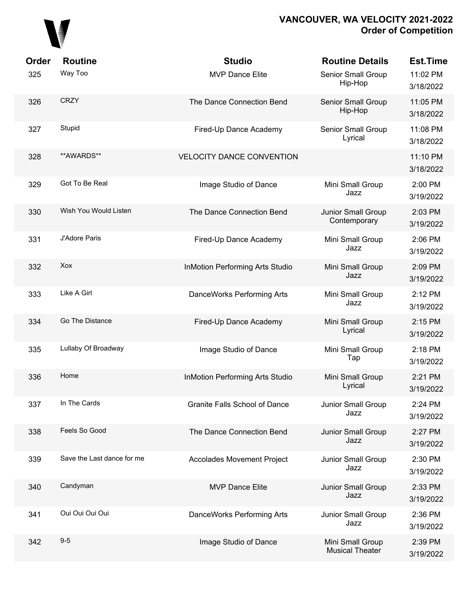

| Order<br>325 | <b>Routine</b><br>Way Too  | <b>Studio</b><br><b>MVP Dance Elite</b> | <b>Routine Details</b><br>Senior Small Group | <b>Est.Time</b><br>11:02 PM |
|--------------|----------------------------|-----------------------------------------|----------------------------------------------|-----------------------------|
|              |                            |                                         | Hip-Hop                                      | 3/18/2022                   |
| 326          | <b>CRZY</b>                | The Dance Connection Bend               | Senior Small Group<br>Hip-Hop                | 11:05 PM<br>3/18/2022       |
| 327          | Stupid                     | Fired-Up Dance Academy                  | Senior Small Group<br>Lyrical                | 11:08 PM<br>3/18/2022       |
| 328          | **AWARDS**                 | <b>VELOCITY DANCE CONVENTION</b>        |                                              | 11:10 PM<br>3/18/2022       |
| 329          | Got To Be Real             | Image Studio of Dance                   | Mini Small Group<br>Jazz                     | 2:00 PM<br>3/19/2022        |
| 330          | Wish You Would Listen      | The Dance Connection Bend               | Junior Small Group<br>Contemporary           | 2:03 PM<br>3/19/2022        |
| 331          | J'Adore Paris              | Fired-Up Dance Academy                  | Mini Small Group<br>Jazz                     | 2:06 PM<br>3/19/2022        |
| 332          | Xox                        | <b>InMotion Performing Arts Studio</b>  | Mini Small Group<br>Jazz                     | 2:09 PM<br>3/19/2022        |
| 333          | Like A Girl                | DanceWorks Performing Arts              | Mini Small Group<br>Jazz                     | 2:12 PM<br>3/19/2022        |
| 334          | Go The Distance            | Fired-Up Dance Academy                  | Mini Small Group<br>Lyrical                  | 2:15 PM<br>3/19/2022        |
| 335          | Lullaby Of Broadway        | Image Studio of Dance                   | Mini Small Group<br>Tap                      | 2:18 PM<br>3/19/2022        |
| 336          | Home                       | <b>InMotion Performing Arts Studio</b>  | Mini Small Group<br>Lyrical                  | 2:21 PM<br>3/19/2022        |
| 337          | In The Cards               | <b>Granite Falls School of Dance</b>    | Junior Small Group<br>Jazz                   | 2:24 PM<br>3/19/2022        |
| 338          | Feels So Good              | The Dance Connection Bend               | Junior Small Group<br>Jazz                   | 2:27 PM<br>3/19/2022        |
| 339          | Save the Last dance for me | <b>Accolades Movement Project</b>       | Junior Small Group<br>Jazz                   | 2:30 PM<br>3/19/2022        |
| 340          | Candyman                   | <b>MVP Dance Elite</b>                  | Junior Small Group<br>Jazz                   | 2:33 PM<br>3/19/2022        |
| 341          | Oui Oui Oui Oui            | DanceWorks Performing Arts              | Junior Small Group<br>Jazz                   | 2:36 PM<br>3/19/2022        |
| 342          | $9-5$                      | Image Studio of Dance                   | Mini Small Group<br><b>Musical Theater</b>   | 2:39 PM<br>3/19/2022        |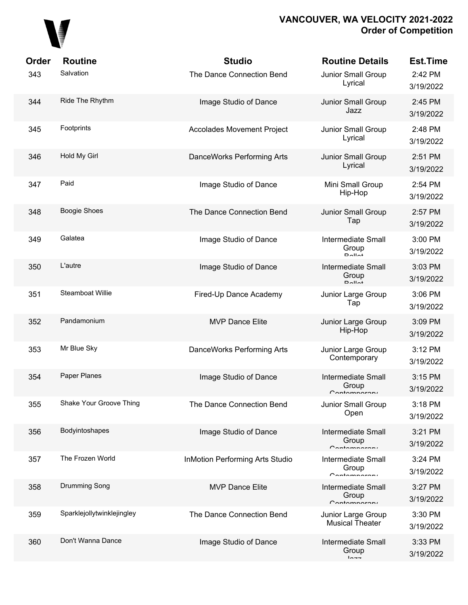

| Order | <b>Routine</b>             | <b>Studio</b>                          | <b>Routine Details</b>                                          | <b>Est.Time</b>      |
|-------|----------------------------|----------------------------------------|-----------------------------------------------------------------|----------------------|
| 343   | Salvation                  | The Dance Connection Bend              | Junior Small Group<br>Lyrical                                   | 2:42 PM<br>3/19/2022 |
| 344   | Ride The Rhythm            | Image Studio of Dance                  | Junior Small Group<br>Jazz                                      | 2:45 PM<br>3/19/2022 |
| 345   | Footprints                 | <b>Accolades Movement Project</b>      | Junior Small Group<br>Lyrical                                   | 2:48 PM<br>3/19/2022 |
| 346   | Hold My Girl               | DanceWorks Performing Arts             | Junior Small Group<br>Lyrical                                   | 2:51 PM<br>3/19/2022 |
| 347   | Paid                       | Image Studio of Dance                  | Mini Small Group<br>Hip-Hop                                     | 2:54 PM<br>3/19/2022 |
| 348   | <b>Boogie Shoes</b>        | The Dance Connection Bend              | Junior Small Group<br>Tap                                       | 2:57 PM<br>3/19/2022 |
| 349   | Galatea                    | Image Studio of Dance                  | <b>Intermediate Small</b><br>Group<br>$D$ $Al$ $A$ <sup>+</sup> | 3:00 PM<br>3/19/2022 |
| 350   | L'autre                    | Image Studio of Dance                  | <b>Intermediate Small</b><br>Group<br>$D$ $Al$ $Al$             | 3:03 PM<br>3/19/2022 |
| 351   | Steamboat Willie           | Fired-Up Dance Academy                 | Junior Large Group<br>Tap                                       | 3:06 PM<br>3/19/2022 |
| 352   | Pandamonium                | <b>MVP Dance Elite</b>                 | Junior Large Group<br>Hip-Hop                                   | 3:09 PM<br>3/19/2022 |
| 353   | Mr Blue Sky                | DanceWorks Performing Arts             | Junior Large Group<br>Contemporary                              | 3:12 PM<br>3/19/2022 |
| 354   | Paper Planes               | Image Studio of Dance                  | Intermediate Small<br>Group<br>Contampararu                     | 3:15 PM<br>3/19/2022 |
| 355   | Shake Your Groove Thing    | The Dance Connection Bend              | Junior Small Group<br>Open                                      | 3:18 PM<br>3/19/2022 |
| 356   | Bodyintoshapes             | Image Studio of Dance                  | <b>Intermediate Small</b><br>Group<br>$C$ ontomnoroni           | 3:21 PM<br>3/19/2022 |
| 357   | The Frozen World           | <b>InMotion Performing Arts Studio</b> | <b>Intermediate Small</b><br>Group<br>$C$ ontomnoroni           | 3:24 PM<br>3/19/2022 |
| 358   | Drumming Song              | <b>MVP Dance Elite</b>                 | <b>Intermediate Small</b><br>Group<br>$C$ ontomnoroni           | 3:27 PM<br>3/19/2022 |
| 359   | Sparklejollytwinklejingley | The Dance Connection Bend              | Junior Large Group<br><b>Musical Theater</b>                    | 3:30 PM<br>3/19/2022 |
| 360   | Don't Wanna Dance          | Image Studio of Dance                  | <b>Intermediate Small</b><br>Group<br>$ln -$                    | 3:33 PM<br>3/19/2022 |
|       |                            |                                        |                                                                 |                      |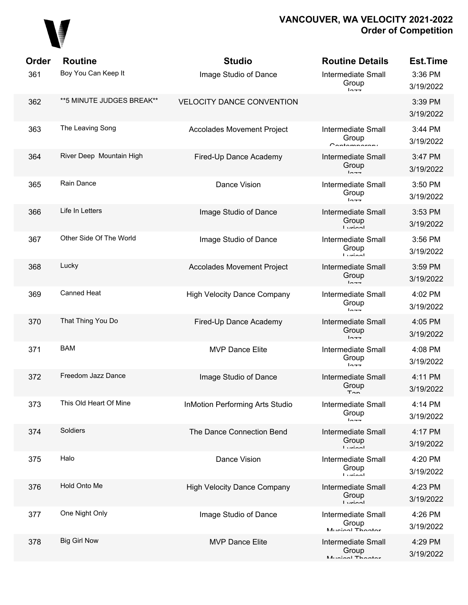

| Order | <b>Routine</b>             | <b>Studio</b>                          | <b>Routine Details</b>                                  | <b>Est.Time</b>      |
|-------|----------------------------|----------------------------------------|---------------------------------------------------------|----------------------|
| 361   | Boy You Can Keep It        | Image Studio of Dance                  | <b>Intermediate Small</b><br>Group<br>$ln -$            | 3:36 PM<br>3/19/2022 |
| 362   | ** 5 MINUTE JUDGES BREAK** | <b>VELOCITY DANCE CONVENTION</b>       |                                                         | 3:39 PM<br>3/19/2022 |
| 363   | The Leaving Song           | <b>Accolades Movement Project</b>      | <b>Intermediate Small</b><br>Group<br>$C$ ontomnoroni   | 3:44 PM<br>3/19/2022 |
| 364   | River Deep Mountain High   | Fired-Up Dance Academy                 | <b>Intermediate Small</b><br>Group<br>$ln -1$           | 3:47 PM<br>3/19/2022 |
| 365   | Rain Dance                 | Dance Vision                           | <b>Intermediate Small</b><br>Group<br>$ln -1$           | 3:50 PM<br>3/19/2022 |
| 366   | Life In Letters            | Image Studio of Dance                  | <b>Intermediate Small</b><br>Group<br>$l$ vriant        | 3:53 PM<br>3/19/2022 |
| 367   | Other Side Of The World    | Image Studio of Dance                  | <b>Intermediate Small</b><br>Group<br><b>Ludool</b>     | 3:56 PM<br>3/19/2022 |
| 368   | Lucky                      | <b>Accolades Movement Project</b>      | <b>Intermediate Small</b><br>Group<br>$ln -1$           | 3:59 PM<br>3/19/2022 |
| 369   | <b>Canned Heat</b>         | <b>High Velocity Dance Company</b>     | <b>Intermediate Small</b><br>Group<br>$ln -1$           | 4:02 PM<br>3/19/2022 |
| 370   | That Thing You Do          | Fired-Up Dance Academy                 | <b>Intermediate Small</b><br>Group<br>$ln -1$           | 4:05 PM<br>3/19/2022 |
| 371   | <b>BAM</b>                 | <b>MVP Dance Elite</b>                 | <b>Intermediate Small</b><br>Group<br>$ln - -$          | 4:08 PM<br>3/19/2022 |
| 372   | Freedom Jazz Dance         | Image Studio of Dance                  | <b>Intermediate Small</b><br>Group<br>$T_{\cap n}$      | 4:11 PM<br>3/19/2022 |
| 373   | This Old Heart Of Mine     | <b>InMotion Performing Arts Studio</b> | Intermediate Small<br>Group<br>$ln -$                   | 4:14 PM<br>3/19/2022 |
| 374   | Soldiers                   | The Dance Connection Bend              | Intermediate Small<br>Group<br>اممنسدا                  | 4:17 PM<br>3/19/2022 |
| 375   | Halo                       | Dance Vision                           | <b>Intermediate Small</b><br>Group<br>$l$ winnl         | 4:20 PM<br>3/19/2022 |
| 376   | Hold Onto Me               | <b>High Velocity Dance Company</b>     | Intermediate Small<br>Group<br>أممنين ا                 | 4:23 PM<br>3/19/2022 |
| 377   | One Night Only             | Image Studio of Dance                  | <b>Intermediate Small</b><br>Group<br>$M1$ $C2$ Theater | 4:26 PM<br>3/19/2022 |
| 378   | <b>Big Girl Now</b>        | <b>MVP Dance Elite</b>                 | Intermediate Small<br>Group<br>Munical Thooter          | 4:29 PM<br>3/19/2022 |
|       |                            |                                        |                                                         |                      |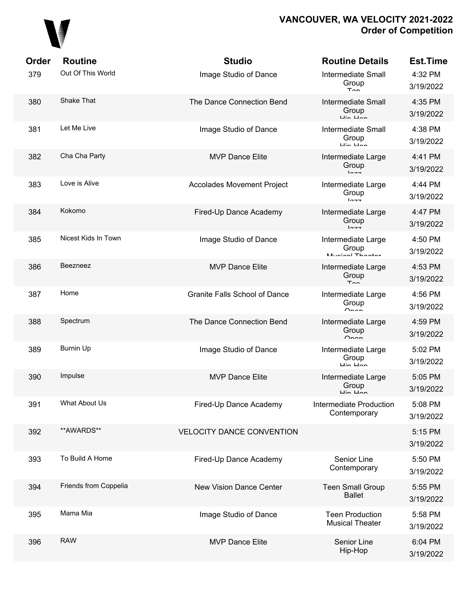

| Order | <b>Routine</b>        | <b>Studio</b>                        | <b>Routine Details</b>                                                    | <b>Est.Time</b>      |
|-------|-----------------------|--------------------------------------|---------------------------------------------------------------------------|----------------------|
| 379   | Out Of This World     | Image Studio of Dance                | <b>Intermediate Small</b><br>Group<br>$T_{\cap n}$                        | 4:32 PM<br>3/19/2022 |
| 380   | Shake That            | The Dance Connection Bend            | <b>Intermediate Small</b><br>Group<br>$\overline{u}$ in $\overline{u}$ nn | 4:35 PM<br>3/19/2022 |
| 381   | Let Me Live           | Image Studio of Dance                | <b>Intermediate Small</b><br>Group<br>$\mathsf{u}$ in $\mathsf{u}$ nn     | 4:38 PM<br>3/19/2022 |
| 382   | Cha Cha Party         | <b>MVP Dance Elite</b>               | Intermediate Large<br>Group<br>$10 - 7$                                   | 4:41 PM<br>3/19/2022 |
| 383   | Love is Alive         | <b>Accolades Movement Project</b>    | Intermediate Large<br>Group<br>$ln -$                                     | 4:44 PM<br>3/19/2022 |
| 384   | Kokomo                | Fired-Up Dance Academy               | Intermediate Large<br>Group<br>$10 - 7$                                   | 4:47 PM<br>3/19/2022 |
| 385   | Nicest Kids In Town   | Image Studio of Dance                | Intermediate Large<br>Group<br>Munical Thootor                            | 4:50 PM<br>3/19/2022 |
| 386   | Beezneez              | <b>MVP Dance Elite</b>               | Intermediate Large<br>Group<br>$T_{\cap n}$                               | 4:53 PM<br>3/19/2022 |
| 387   | Home                  | <b>Granite Falls School of Dance</b> | Intermediate Large<br>Group<br>Onnn                                       | 4:56 PM<br>3/19/2022 |
| 388   | Spectrum              | The Dance Connection Bend            | Intermediate Large<br>Group<br>$\sim$                                     | 4:59 PM<br>3/19/2022 |
| 389   | <b>Burnin Up</b>      | Image Studio of Dance                | Intermediate Large<br>Group<br>$\overline{u}$ in $\overline{u}$ an        | 5:02 PM<br>3/19/2022 |
| 390   | Impulse               | <b>MVP Dance Elite</b>               | Intermediate Large<br>Group<br>Lin Llon                                   | 5:05 PM<br>3/19/2022 |
| 391   | What About Us         | Fired-Up Dance Academy               | Intermediate Production<br>Contemporary                                   | 5:08 PM<br>3/19/2022 |
| 392   | **AWARDS**            | <b>VELOCITY DANCE CONVENTION</b>     |                                                                           | 5:15 PM<br>3/19/2022 |
| 393   | To Build A Home       | Fired-Up Dance Academy               | Senior Line<br>Contemporary                                               | 5:50 PM<br>3/19/2022 |
| 394   | Friends from Coppelia | <b>New Vision Dance Center</b>       | <b>Teen Small Group</b><br><b>Ballet</b>                                  | 5:55 PM<br>3/19/2022 |
| 395   | Mama Mia              | Image Studio of Dance                | <b>Teen Production</b><br><b>Musical Theater</b>                          | 5:58 PM<br>3/19/2022 |
| 396   | <b>RAW</b>            | <b>MVP Dance Elite</b>               | Senior Line<br>Hip-Hop                                                    | 6:04 PM<br>3/19/2022 |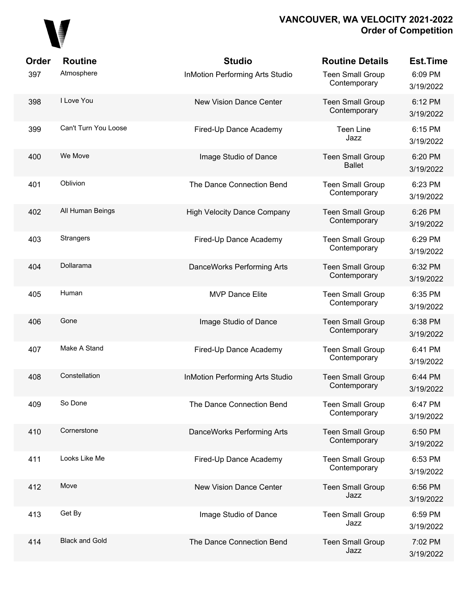# 

| Order | <b>Routine</b>        | <b>Studio</b>                          | <b>Routine Details</b>                   | <b>Est.Time</b>      |
|-------|-----------------------|----------------------------------------|------------------------------------------|----------------------|
| 397   | Atmosphere            | <b>InMotion Performing Arts Studio</b> | <b>Teen Small Group</b><br>Contemporary  | 6:09 PM<br>3/19/2022 |
| 398   | I Love You            | <b>New Vision Dance Center</b>         | <b>Teen Small Group</b><br>Contemporary  | 6:12 PM<br>3/19/2022 |
| 399   | Can't Turn You Loose  | Fired-Up Dance Academy                 | <b>Teen Line</b><br>Jazz                 | 6:15 PM<br>3/19/2022 |
| 400   | We Move               | Image Studio of Dance                  | <b>Teen Small Group</b><br><b>Ballet</b> | 6:20 PM<br>3/19/2022 |
| 401   | Oblivion              | The Dance Connection Bend              | <b>Teen Small Group</b><br>Contemporary  | 6:23 PM<br>3/19/2022 |
| 402   | All Human Beings      | <b>High Velocity Dance Company</b>     | <b>Teen Small Group</b><br>Contemporary  | 6:26 PM<br>3/19/2022 |
| 403   | <b>Strangers</b>      | Fired-Up Dance Academy                 | <b>Teen Small Group</b><br>Contemporary  | 6:29 PM<br>3/19/2022 |
| 404   | Dollarama             | DanceWorks Performing Arts             | <b>Teen Small Group</b><br>Contemporary  | 6:32 PM<br>3/19/2022 |
| 405   | Human                 | <b>MVP Dance Elite</b>                 | <b>Teen Small Group</b><br>Contemporary  | 6:35 PM<br>3/19/2022 |
| 406   | Gone                  | Image Studio of Dance                  | <b>Teen Small Group</b><br>Contemporary  | 6:38 PM<br>3/19/2022 |
| 407   | Make A Stand          | Fired-Up Dance Academy                 | <b>Teen Small Group</b><br>Contemporary  | 6:41 PM<br>3/19/2022 |
| 408   | Constellation         | <b>InMotion Performing Arts Studio</b> | <b>Teen Small Group</b><br>Contemporary  | 6:44 PM<br>3/19/2022 |
| 409   | So Done               | The Dance Connection Bend              | <b>Teen Small Group</b><br>Contemporary  | 6:47 PM<br>3/19/2022 |
| 410   | Cornerstone           | DanceWorks Performing Arts             | <b>Teen Small Group</b><br>Contemporary  | 6:50 PM<br>3/19/2022 |
| 411   | Looks Like Me         | Fired-Up Dance Academy                 | <b>Teen Small Group</b><br>Contemporary  | 6:53 PM<br>3/19/2022 |
| 412   | Move                  | New Vision Dance Center                | <b>Teen Small Group</b><br>Jazz          | 6:56 PM<br>3/19/2022 |
| 413   | Get By                | Image Studio of Dance                  | <b>Teen Small Group</b><br>Jazz          | 6:59 PM<br>3/19/2022 |
| 414   | <b>Black and Gold</b> | The Dance Connection Bend              | <b>Teen Small Group</b><br>Jazz          | 7:02 PM<br>3/19/2022 |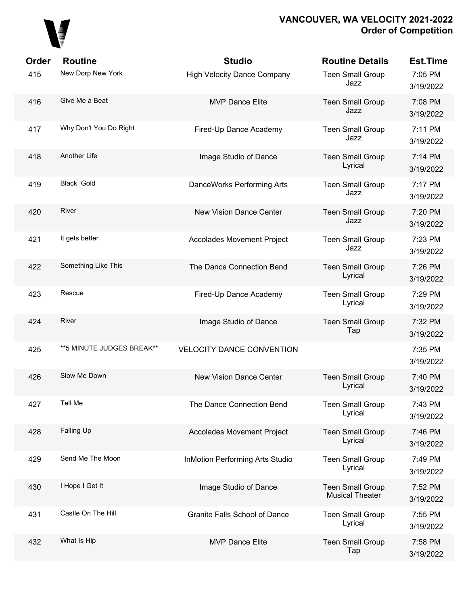

| <b>Order</b> | <b>Routine</b>             | <b>Studio</b>                          | <b>Routine Details</b>                            | <b>Est.Time</b>      |
|--------------|----------------------------|----------------------------------------|---------------------------------------------------|----------------------|
| 415          | New Dorp New York          | <b>High Velocity Dance Company</b>     | <b>Teen Small Group</b><br>Jazz                   | 7:05 PM<br>3/19/2022 |
| 416          | Give Me a Beat             | <b>MVP Dance Elite</b>                 | <b>Teen Small Group</b><br>Jazz                   | 7:08 PM<br>3/19/2022 |
| 417          | Why Don't You Do Right     | Fired-Up Dance Academy                 | <b>Teen Small Group</b><br>Jazz                   | 7:11 PM<br>3/19/2022 |
| 418          | <b>Another Life</b>        | Image Studio of Dance                  | <b>Teen Small Group</b><br>Lyrical                | 7:14 PM<br>3/19/2022 |
| 419          | Black Gold                 | DanceWorks Performing Arts             | <b>Teen Small Group</b><br>Jazz                   | 7:17 PM<br>3/19/2022 |
| 420          | River                      | <b>New Vision Dance Center</b>         | <b>Teen Small Group</b><br>Jazz                   | 7:20 PM<br>3/19/2022 |
| 421          | It gets better             | <b>Accolades Movement Project</b>      | <b>Teen Small Group</b><br>Jazz                   | 7:23 PM<br>3/19/2022 |
| 422          | Something Like This        | The Dance Connection Bend              | <b>Teen Small Group</b><br>Lyrical                | 7:26 PM<br>3/19/2022 |
| 423          | Rescue                     | Fired-Up Dance Academy                 | <b>Teen Small Group</b><br>Lyrical                | 7:29 PM<br>3/19/2022 |
| 424          | River                      | Image Studio of Dance                  | <b>Teen Small Group</b><br>Tap                    | 7:32 PM<br>3/19/2022 |
| 425          | ** 5 MINUTE JUDGES BREAK** | <b>VELOCITY DANCE CONVENTION</b>       |                                                   | 7:35 PM<br>3/19/2022 |
| 426          | Slow Me Down               | <b>New Vision Dance Center</b>         | <b>Teen Small Group</b><br>Lyrical                | 7:40 PM<br>3/19/2022 |
| 427          | Tell Me                    | The Dance Connection Bend              | <b>Teen Small Group</b><br>Lyrical                | 7:43 PM<br>3/19/2022 |
| 428          | Falling Up                 | <b>Accolades Movement Project</b>      | <b>Teen Small Group</b><br>Lyrical                | 7:46 PM<br>3/19/2022 |
| 429          | Send Me The Moon           | <b>InMotion Performing Arts Studio</b> | <b>Teen Small Group</b><br>Lyrical                | 7:49 PM<br>3/19/2022 |
| 430          | I Hope I Get It            | Image Studio of Dance                  | <b>Teen Small Group</b><br><b>Musical Theater</b> | 7:52 PM<br>3/19/2022 |
| 431          | Castle On The Hill         | <b>Granite Falls School of Dance</b>   | <b>Teen Small Group</b><br>Lyrical                | 7:55 PM<br>3/19/2022 |
| 432          | What Is Hip                | <b>MVP Dance Elite</b>                 | <b>Teen Small Group</b><br>Tap                    | 7:58 PM<br>3/19/2022 |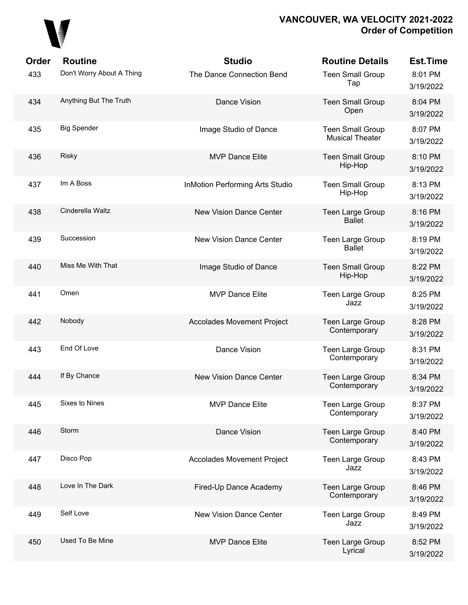

| <b>Order</b> | <b>Routine</b>            | <b>Studio</b>                          | <b>Routine Details</b>                            | <b>Est.Time</b>      |
|--------------|---------------------------|----------------------------------------|---------------------------------------------------|----------------------|
| 433          | Don't Worry About A Thing | The Dance Connection Bend              | <b>Teen Small Group</b><br>Tap                    | 8:01 PM<br>3/19/2022 |
| 434          | Anything But The Truth    | Dance Vision                           | <b>Teen Small Group</b><br>Open                   | 8:04 PM<br>3/19/2022 |
| 435          | <b>Big Spender</b>        | Image Studio of Dance                  | <b>Teen Small Group</b><br><b>Musical Theater</b> | 8:07 PM<br>3/19/2022 |
| 436          | <b>Risky</b>              | <b>MVP Dance Elite</b>                 | <b>Teen Small Group</b><br>Hip-Hop                | 8:10 PM<br>3/19/2022 |
| 437          | Im A Boss                 | <b>InMotion Performing Arts Studio</b> | <b>Teen Small Group</b><br>Hip-Hop                | 8:13 PM<br>3/19/2022 |
| 438          | Cinderella Waltz          | <b>New Vision Dance Center</b>         | <b>Teen Large Group</b><br><b>Ballet</b>          | 8:16 PM<br>3/19/2022 |
| 439          | Succession                | <b>New Vision Dance Center</b>         | <b>Teen Large Group</b><br><b>Ballet</b>          | 8:19 PM<br>3/19/2022 |
| 440          | Miss Me With That         | Image Studio of Dance                  | <b>Teen Small Group</b><br>Hip-Hop                | 8:22 PM<br>3/19/2022 |
| 441          | Omen                      | <b>MVP Dance Elite</b>                 | <b>Teen Large Group</b><br>Jazz                   | 8:25 PM<br>3/19/2022 |
| 442          | Nobody                    | <b>Accolades Movement Project</b>      | <b>Teen Large Group</b><br>Contemporary           | 8:28 PM<br>3/19/2022 |
| 443          | End Of Love               | <b>Dance Vision</b>                    | Teen Large Group<br>Contemporary                  | 8:31 PM<br>3/19/2022 |
| 444          | If By Chance              | <b>New Vision Dance Center</b>         | Teen Large Group<br>Contemporary                  | 8:34 PM<br>3/19/2022 |
| 445          | Sixes to Nines            | <b>MVP Dance Elite</b>                 | <b>Teen Large Group</b><br>Contemporary           | 8:37 PM<br>3/19/2022 |
| 446          | Storm                     | Dance Vision                           | Teen Large Group<br>Contemporary                  | 8:40 PM<br>3/19/2022 |
| 447          | Disco Pop                 | <b>Accolades Movement Project</b>      | Teen Large Group<br>Jazz                          | 8:43 PM<br>3/19/2022 |
| 448          | Love In The Dark          | Fired-Up Dance Academy                 | Teen Large Group<br>Contemporary                  | 8:46 PM<br>3/19/2022 |
| 449          | Self Love                 | <b>New Vision Dance Center</b>         | Teen Large Group<br>Jazz                          | 8:49 PM<br>3/19/2022 |
| 450          | Used To Be Mine           | <b>MVP Dance Elite</b>                 | Teen Large Group<br>Lyrical                       | 8:52 PM<br>3/19/2022 |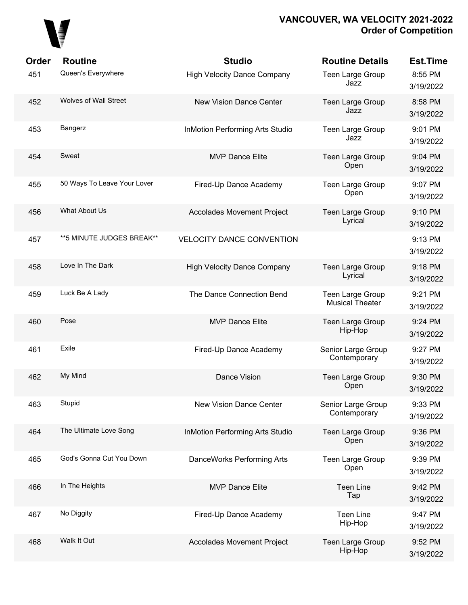

| Order | <b>Routine</b>               | <b>Studio</b>                          | <b>Routine Details</b>                     | <b>Est.Time</b>      |
|-------|------------------------------|----------------------------------------|--------------------------------------------|----------------------|
| 451   | Queen's Everywhere           | <b>High Velocity Dance Company</b>     | Teen Large Group<br>Jazz                   | 8:55 PM<br>3/19/2022 |
| 452   | <b>Wolves of Wall Street</b> | <b>New Vision Dance Center</b>         | Teen Large Group<br>Jazz                   | 8:58 PM<br>3/19/2022 |
| 453   | Bangerz                      | <b>InMotion Performing Arts Studio</b> | Teen Large Group<br>Jazz                   | 9:01 PM<br>3/19/2022 |
| 454   | Sweat                        | <b>MVP Dance Elite</b>                 | Teen Large Group<br>Open                   | 9:04 PM<br>3/19/2022 |
| 455   | 50 Ways To Leave Your Lover  | Fired-Up Dance Academy                 | Teen Large Group<br>Open                   | 9:07 PM<br>3/19/2022 |
| 456   | What About Us                | <b>Accolades Movement Project</b>      | Teen Large Group<br>Lyrical                | 9:10 PM<br>3/19/2022 |
| 457   | ** 5 MINUTE JUDGES BREAK**   | <b>VELOCITY DANCE CONVENTION</b>       |                                            | 9:13 PM<br>3/19/2022 |
| 458   | Love In The Dark             | <b>High Velocity Dance Company</b>     | Teen Large Group<br>Lyrical                | 9:18 PM<br>3/19/2022 |
| 459   | Luck Be A Lady               | The Dance Connection Bend              | Teen Large Group<br><b>Musical Theater</b> | 9:21 PM<br>3/19/2022 |
| 460   | Pose                         | <b>MVP Dance Elite</b>                 | Teen Large Group<br>Hip-Hop                | 9:24 PM<br>3/19/2022 |
| 461   | Exile                        | Fired-Up Dance Academy                 | Senior Large Group<br>Contemporary         | 9:27 PM<br>3/19/2022 |
| 462   | My Mind                      | Dance Vision                           | Teen Large Group<br>Open                   | 9:30 PM<br>3/19/2022 |
| 463   | Stupid                       | New Vision Dance Center                | Senior Large Group<br>Contemporary         | 9:33 PM<br>3/19/2022 |
| 464   | The Ultimate Love Song       | <b>InMotion Performing Arts Studio</b> | Teen Large Group<br>Open                   | 9:36 PM<br>3/19/2022 |
| 465   | God's Gonna Cut You Down     | DanceWorks Performing Arts             | Teen Large Group<br>Open                   | 9:39 PM<br>3/19/2022 |
| 466   | In The Heights               | <b>MVP Dance Elite</b>                 | <b>Teen Line</b><br>Tap                    | 9:42 PM<br>3/19/2022 |
| 467   | No Diggity                   | Fired-Up Dance Academy                 | <b>Teen Line</b><br>Hip-Hop                | 9:47 PM<br>3/19/2022 |
| 468   | Walk It Out                  | <b>Accolades Movement Project</b>      | Teen Large Group<br>Hip-Hop                | 9:52 PM<br>3/19/2022 |